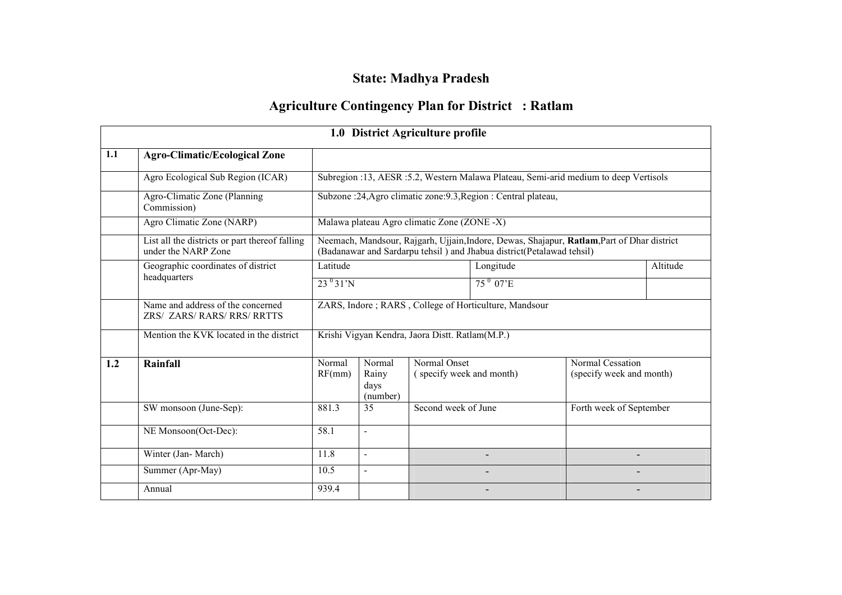## State: Madhya Pradesh

#### Agriculture Contingency Plan for District : Ratlam

|     |                                                                       |                          |                                                       | 1.0 District Agriculture profile                |                                                                                                                                                                     |                                              |  |
|-----|-----------------------------------------------------------------------|--------------------------|-------------------------------------------------------|-------------------------------------------------|---------------------------------------------------------------------------------------------------------------------------------------------------------------------|----------------------------------------------|--|
| 1.1 | <b>Agro-Climatic/Ecological Zone</b>                                  |                          |                                                       |                                                 |                                                                                                                                                                     |                                              |  |
|     | Agro Ecological Sub Region (ICAR)                                     |                          |                                                       |                                                 | Subregion : 13, AESR : 5.2, Western Malawa Plateau, Semi-arid medium to deep Vertisols                                                                              |                                              |  |
|     | Agro-Climatic Zone (Planning<br>Commission)                           |                          |                                                       |                                                 | Subzone :24, Agro climatic zone: 9.3, Region : Central plateau,                                                                                                     |                                              |  |
|     | Agro Climatic Zone (NARP)                                             |                          |                                                       | Malawa plateau Agro climatic Zone (ZONE -X)     |                                                                                                                                                                     |                                              |  |
|     | List all the districts or part thereof falling<br>under the NARP Zone |                          |                                                       |                                                 | Neemach, Mandsour, Rajgarh, Ujjain, Indore, Dewas, Shajapur, Ratlam, Part of Dhar district<br>(Badanawar and Sardarpu tehsil) and Jhabua district(Petalawad tehsil) |                                              |  |
|     | Geographic coordinates of district<br>headquarters                    | Latitude                 |                                                       |                                                 | Longitude                                                                                                                                                           | Altitude                                     |  |
|     |                                                                       | $23^{\circ}31^{\prime}N$ |                                                       |                                                 | $75^{0}$ 07'E                                                                                                                                                       |                                              |  |
|     | Name and address of the concerned<br>ZRS/ ZARS/ RARS/ RRS/ RRTTS      |                          | ZARS, Indore; RARS, College of Horticulture, Mandsour |                                                 |                                                                                                                                                                     |                                              |  |
|     | Mention the KVK located in the district                               |                          |                                                       | Krishi Vigyan Kendra, Jaora Distt. Ratlam(M.P.) |                                                                                                                                                                     |                                              |  |
| 1.2 | Rainfall                                                              | Normal<br>RF(mm)         | Normal<br>Rainy<br>days<br>(number)                   | Normal Onset<br>(specify week and month)        |                                                                                                                                                                     | Normal Cessation<br>(specify week and month) |  |
|     | SW monsoon (June-Sep):                                                | 881.3                    | 35                                                    | Second week of June                             |                                                                                                                                                                     | Forth week of September                      |  |
|     | NE Monsoon(Oct-Dec):                                                  | 58.1                     | $\blacksquare$                                        |                                                 |                                                                                                                                                                     |                                              |  |
|     | Winter (Jan-March)                                                    | 11.8                     | $\blacksquare$                                        |                                                 |                                                                                                                                                                     |                                              |  |
|     | Summer (Apr-May)                                                      | 10.5                     | $\blacksquare$                                        |                                                 |                                                                                                                                                                     |                                              |  |
|     | Annual                                                                | 939.4                    |                                                       |                                                 |                                                                                                                                                                     |                                              |  |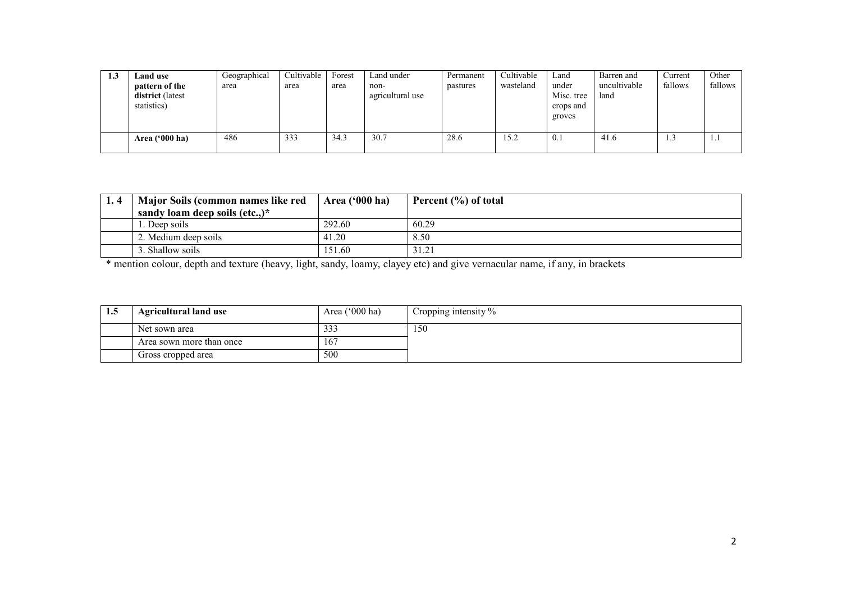| 1.3 | <b>Land use</b><br>pattern of the<br><b>district</b> (latest<br>statistics) | Geographical<br>area | Cultivable<br>area | Forest<br>area | Land under<br>non-<br>agricultural use | Permanent<br>pastures | Cultivable<br>wasteland | Land<br>under<br>Misc. tree<br>crops and<br>groves | Barren and<br>uncultivable<br>land | Current<br>fallows | Other<br>fallows |
|-----|-----------------------------------------------------------------------------|----------------------|--------------------|----------------|----------------------------------------|-----------------------|-------------------------|----------------------------------------------------|------------------------------------|--------------------|------------------|
|     | Area $('000 ha)$                                                            | 486                  | 333                | 34.3           | 30.7                                   | 28.6                  | 15.2                    | 0.1                                                | 41.6                               | 1.3                | 1.1              |

| Major Soils (common names like red                                                                                         | Area $(900 \text{ ha})$ | Percent $(\% )$ of total |  |  |  |  |
|----------------------------------------------------------------------------------------------------------------------------|-------------------------|--------------------------|--|--|--|--|
| sandy loam deep soils (etc.,) $*$                                                                                          |                         |                          |  |  |  |  |
| 1. Deep soils                                                                                                              | 292.60                  | 60.29                    |  |  |  |  |
| 2. Medium deep soils                                                                                                       | 41.20                   | 8.50                     |  |  |  |  |
| 151.60<br>31.21<br>3. Shallow soils                                                                                        |                         |                          |  |  |  |  |
| * mention colour, depth and texture (heavy, light, sandy, loamy, clayey etc) and give vernacular name, if any, in brackets |                         |                          |  |  |  |  |

| 1.5 | <b>Agricultural land use</b> | Area $(^{\circ}000$ ha) | Cropping intensity $\%$ |
|-----|------------------------------|-------------------------|-------------------------|
|     | Net sown area                | 222<br>333              | 150                     |
|     | Area sown more than once     | 167                     |                         |
|     | Gross cropped area           | 500                     |                         |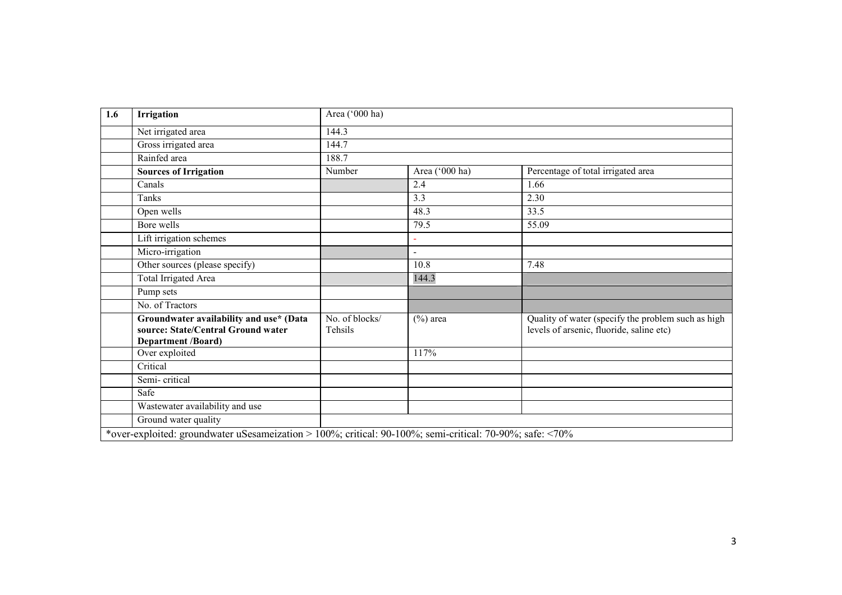| 1.6 | Irrigation                                                                                                 | Area ('000 ha)            |                |                                                                                                |
|-----|------------------------------------------------------------------------------------------------------------|---------------------------|----------------|------------------------------------------------------------------------------------------------|
|     | Net irrigated area                                                                                         | 144.3                     |                |                                                                                                |
|     | Gross irrigated area                                                                                       | 144.7                     |                |                                                                                                |
|     | Rainfed area                                                                                               | 188.7                     |                |                                                                                                |
|     | <b>Sources of Irrigation</b>                                                                               | Number                    | Area ('000 ha) | Percentage of total irrigated area                                                             |
|     | Canals                                                                                                     |                           | 2.4            | 1.66                                                                                           |
|     | Tanks                                                                                                      |                           | 3.3            | 2.30                                                                                           |
|     | Open wells                                                                                                 |                           | 48.3           | 33.5                                                                                           |
|     | Bore wells                                                                                                 |                           | 79.5           | 55.09                                                                                          |
|     | Lift irrigation schemes                                                                                    |                           |                |                                                                                                |
|     | Micro-irrigation                                                                                           |                           | $\blacksquare$ |                                                                                                |
|     | Other sources (please specify)                                                                             |                           | 10.8           | 7.48                                                                                           |
|     | <b>Total Irrigated Area</b>                                                                                |                           | 144.3          |                                                                                                |
|     | Pump sets                                                                                                  |                           |                |                                                                                                |
|     | No. of Tractors                                                                                            |                           |                |                                                                                                |
|     | Groundwater availability and use* (Data<br>source: State/Central Ground water<br><b>Department /Board)</b> | No. of blocks/<br>Tehsils | $(\%)$ area    | Quality of water (specify the problem such as high<br>levels of arsenic, fluoride, saline etc) |
|     | Over exploited                                                                                             |                           | 117%           |                                                                                                |
|     | Critical                                                                                                   |                           |                |                                                                                                |
|     | Semi-critical                                                                                              |                           |                |                                                                                                |
|     | Safe                                                                                                       |                           |                |                                                                                                |
|     | Wastewater availability and use                                                                            |                           |                |                                                                                                |
|     | Ground water quality                                                                                       |                           |                |                                                                                                |
|     | *over-exploited: groundwater uSesameization > 100%; critical: 90-100%; semi-critical: 70-90%; safe: <70%   |                           |                |                                                                                                |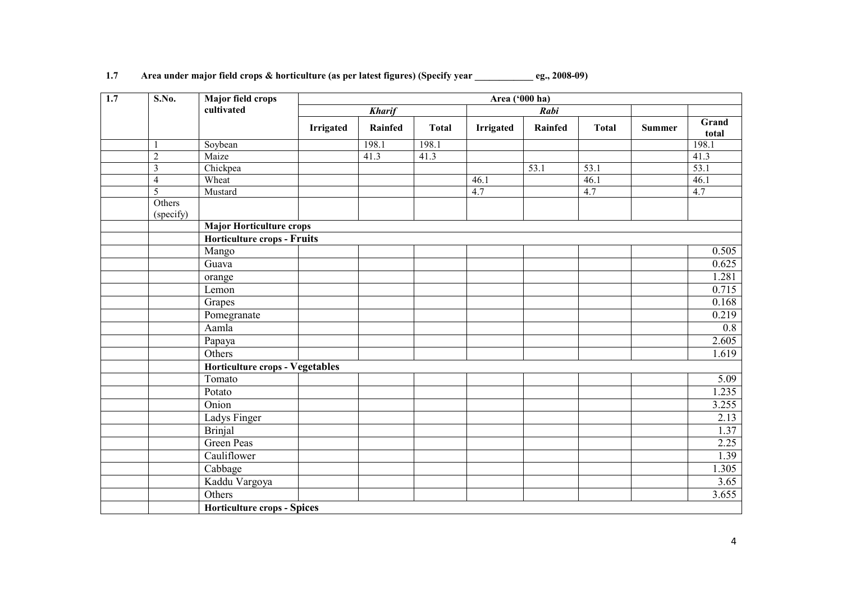| $\overline{1.7}$ | S.No.                   | <b>Major field crops</b>           | Area ('000 ha) |                |              |                  |                |              |               |                |
|------------------|-------------------------|------------------------------------|----------------|----------------|--------------|------------------|----------------|--------------|---------------|----------------|
|                  |                         | cultivated                         |                | <b>Kharif</b>  |              |                  | Rabi           |              |               |                |
|                  |                         |                                    | Irrigated      | <b>Rainfed</b> | <b>Total</b> | <b>Irrigated</b> | <b>Rainfed</b> | <b>Total</b> | <b>Summer</b> | Grand<br>total |
|                  | $\mathbf{1}$            | Soybean                            |                | 198.1          | 198.1        |                  |                |              |               | 198.1          |
|                  | $\overline{2}$          | Maize                              |                | 41.3           | 41.3         |                  |                |              |               | 41.3           |
|                  | $\overline{\mathbf{3}}$ | Chickpea                           |                |                |              |                  | 53.1           | 53.1         |               | 53.1           |
|                  | $\overline{4}$          | Wheat                              |                |                |              | 46.1             |                | 46.1         |               | 46.1           |
|                  | 5                       | Mustard                            |                |                |              | 4.7              |                | 4.7          |               | 4.7            |
|                  | Others                  |                                    |                |                |              |                  |                |              |               |                |
|                  | (specify)               |                                    |                |                |              |                  |                |              |               |                |
|                  |                         | <b>Major Horticulture crops</b>    |                |                |              |                  |                |              |               |                |
|                  |                         | <b>Horticulture crops - Fruits</b> |                |                |              |                  |                |              |               |                |
|                  |                         | Mango                              |                |                |              |                  |                |              |               | 0.505          |
|                  |                         | Guava                              |                |                |              |                  |                |              |               | 0.625          |
|                  |                         | orange                             |                |                |              |                  |                |              |               | 1.281          |
|                  |                         | Lemon                              |                |                |              |                  |                |              |               | 0.715          |
|                  |                         | Grapes                             |                |                |              |                  |                |              |               | 0.168          |
|                  |                         | Pomegranate                        |                |                |              |                  |                |              |               | 0.219          |
|                  |                         | Aamla                              |                |                |              |                  |                |              |               | 0.8            |
|                  |                         | Papaya                             |                |                |              |                  |                |              |               | 2.605          |
|                  |                         | Others                             |                |                |              |                  |                |              |               | 1.619          |
|                  |                         | Horticulture crops - Vegetables    |                |                |              |                  |                |              |               |                |
|                  |                         | Tomato                             |                |                |              |                  |                |              |               | 5.09           |
|                  |                         | Potato                             |                |                |              |                  |                |              |               | 1.235          |
|                  |                         | Onion                              |                |                |              |                  |                |              |               | 3.255          |
|                  |                         | Ladys Finger                       |                |                |              |                  |                |              |               | 2.13           |
|                  |                         | <b>Brinjal</b>                     |                |                |              |                  |                |              |               | 1.37           |
|                  |                         | <b>Green Peas</b>                  |                |                |              |                  |                |              |               | 2.25           |
|                  |                         | Cauliflower                        |                |                |              |                  |                |              |               | 1.39           |
|                  |                         | Cabbage                            |                |                |              |                  |                |              |               | 1.305          |
|                  |                         | Kaddu Vargoya                      |                |                |              |                  |                |              |               | 3.65           |
|                  |                         | Others                             |                |                |              |                  |                |              |               | 3.655          |
|                  |                         | <b>Horticulture crops - Spices</b> |                |                |              |                  |                |              |               |                |

#### 1.7 Area under major field crops & horticulture (as per latest figures) (Specify year \_\_\_\_\_\_\_\_\_\_\_\_ eg., 2008-09)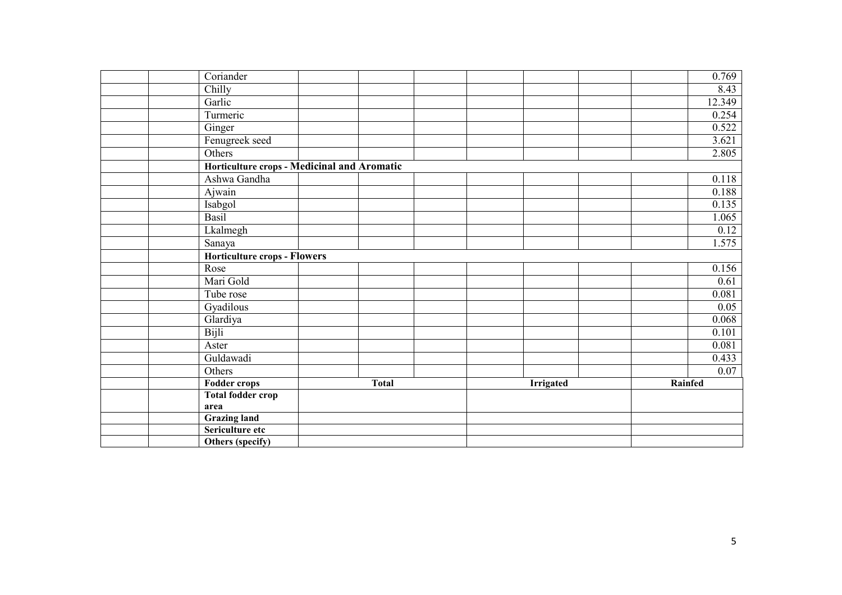| Coriander                                   |              |                  | 0.769   |
|---------------------------------------------|--------------|------------------|---------|
| Chilly                                      |              |                  | 8.43    |
| Garlic                                      |              |                  | 12.349  |
| Turmeric                                    |              |                  | 0.254   |
| Ginger                                      |              |                  | 0.522   |
| Fenugreek seed                              |              |                  | 3.621   |
| Others                                      |              |                  | 2.805   |
| Horticulture crops - Medicinal and Aromatic |              |                  |         |
| Ashwa Gandha                                |              |                  | 0.118   |
| Ajwain                                      |              |                  | 0.188   |
| Isabgol                                     |              |                  | 0.135   |
| Basil                                       |              |                  | 1.065   |
| Lkalmegh                                    |              |                  | 0.12    |
| Sanaya                                      |              |                  | 1.575   |
| <b>Horticulture crops - Flowers</b>         |              |                  |         |
| Rose                                        |              |                  | 0.156   |
| Mari Gold                                   |              |                  | 0.61    |
| Tube rose                                   |              |                  | 0.081   |
| Gyadilous                                   |              |                  | 0.05    |
| Glardiya                                    |              |                  | 0.068   |
| Bijli                                       |              |                  | 0.101   |
| Aster                                       |              |                  | 0.081   |
| Guldawadi                                   |              |                  | 0.433   |
| Others                                      |              |                  | 0.07    |
| <b>Fodder crops</b>                         | <b>Total</b> | <b>Irrigated</b> | Rainfed |
| <b>Total fodder crop</b>                    |              |                  |         |
| area                                        |              |                  |         |
| <b>Grazing land</b>                         |              |                  |         |
| Sericulture etc                             |              |                  |         |
| Others (specify)                            |              |                  |         |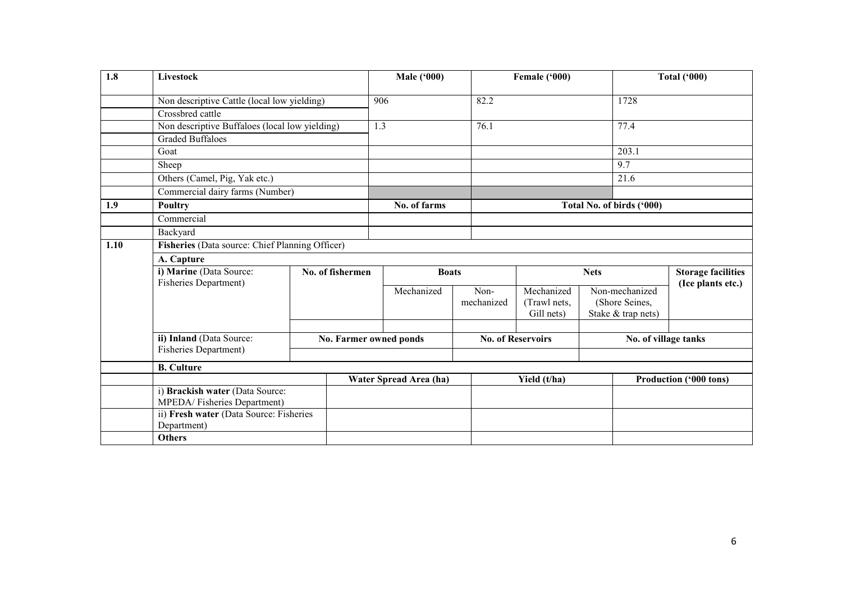| 1.8  | Livestock                                       |                                                                                                           |              | <b>Male ('000)</b>     |  |                          | Female ('000) |                           |                    | <b>Total ('000)</b>           |
|------|-------------------------------------------------|-----------------------------------------------------------------------------------------------------------|--------------|------------------------|--|--------------------------|---------------|---------------------------|--------------------|-------------------------------|
|      | Non descriptive Cattle (local low yielding)     |                                                                                                           |              | 906                    |  | 82.2                     |               |                           | 1728               |                               |
|      | Crossbred cattle                                |                                                                                                           |              |                        |  |                          |               |                           |                    |                               |
|      | Non descriptive Buffaloes (local low yielding)  |                                                                                                           |              | 1.3                    |  | 76.1                     |               |                           | 77.4               |                               |
|      | <b>Graded Buffaloes</b>                         |                                                                                                           |              |                        |  |                          |               |                           |                    |                               |
|      | Goat                                            |                                                                                                           |              |                        |  |                          |               |                           | 203.1              |                               |
|      | Sheep                                           |                                                                                                           |              |                        |  |                          |               |                           | 9.7                |                               |
|      | Others (Camel, Pig, Yak etc.)                   |                                                                                                           |              |                        |  |                          |               |                           | 21.6               |                               |
|      | Commercial dairy farms (Number)                 |                                                                                                           |              |                        |  |                          |               |                           |                    |                               |
| 1.9  | <b>Poultry</b>                                  |                                                                                                           | No. of farms |                        |  |                          |               | Total No. of birds ('000) |                    |                               |
|      | Commercial                                      |                                                                                                           |              |                        |  |                          |               |                           |                    |                               |
|      | Backyard                                        |                                                                                                           |              |                        |  |                          |               |                           |                    |                               |
| 1.10 | Fisheries (Data source: Chief Planning Officer) |                                                                                                           |              |                        |  |                          |               |                           |                    |                               |
|      | A. Capture                                      |                                                                                                           |              |                        |  |                          |               |                           |                    |                               |
|      | i) Marine (Data Source:<br>No. of fishermen     |                                                                                                           |              | <b>Boats</b>           |  | <b>Nets</b>              |               |                           |                    | <b>Storage facilities</b>     |
|      | <b>Fisheries Department)</b>                    |                                                                                                           |              |                        |  |                          | Mechanized    |                           | Non-mechanized     | (Ice plants etc.)             |
|      |                                                 |                                                                                                           |              | Mechanized             |  | Non-<br>mechanized       | (Trawl nets,  |                           | (Shore Seines,     |                               |
|      |                                                 |                                                                                                           |              |                        |  |                          | Gill nets)    |                           | Stake & trap nets) |                               |
|      |                                                 |                                                                                                           |              |                        |  |                          |               |                           |                    |                               |
|      | ii) Inland (Data Source:                        |                                                                                                           |              | No. Farmer owned ponds |  | <b>No. of Reservoirs</b> |               | No. of village tanks      |                    |                               |
|      | <b>Fisheries Department)</b>                    |                                                                                                           |              |                        |  |                          |               |                           |                    |                               |
|      | <b>B.</b> Culture                               |                                                                                                           |              |                        |  |                          |               |                           |                    |                               |
|      |                                                 |                                                                                                           |              | Water Spread Area (ha) |  |                          | Yield (t/ha)  |                           |                    | <b>Production ('000 tons)</b> |
|      |                                                 | i) Brackish water (Data Source:<br>MPEDA/Fisheries Department)<br>ii) Fresh water (Data Source: Fisheries |              |                        |  |                          |               |                           |                    |                               |
|      | Department)                                     |                                                                                                           |              |                        |  |                          |               |                           |                    |                               |
|      | <b>Others</b>                                   |                                                                                                           |              |                        |  |                          |               |                           |                    |                               |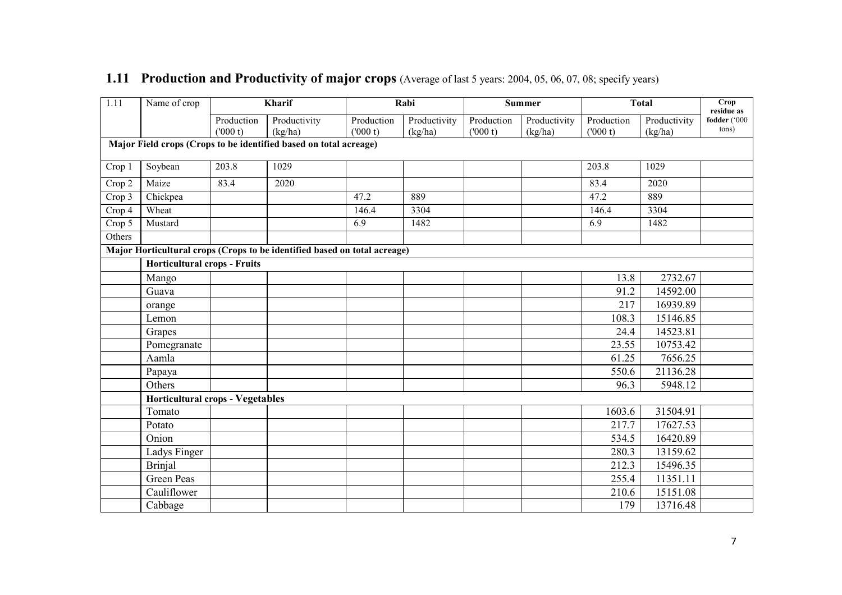| 1.11   | Name of crop                            |                       | <b>Kharif</b>                                                             |                       | Rabi                    |                       | <b>Summer</b>           |                       | <b>Total</b>            |                                     |
|--------|-----------------------------------------|-----------------------|---------------------------------------------------------------------------|-----------------------|-------------------------|-----------------------|-------------------------|-----------------------|-------------------------|-------------------------------------|
|        |                                         | Production<br>(000 t) | Productivity<br>(kg/ha)                                                   | Production<br>(000 t) | Productivity<br>(kg/ha) | Production<br>(000 t) | Productivity<br>(kg/ha) | Production<br>(000 t) | Productivity<br>(kg/ha) | residue as<br>fodder ('000<br>tons) |
|        |                                         |                       | Major Field crops (Crops to be identified based on total acreage)         |                       |                         |                       |                         |                       |                         |                                     |
| Crop 1 | Soybean                                 | 203.8                 | 1029                                                                      |                       |                         |                       |                         | 203.8                 | 1029                    |                                     |
| Crop 2 | Maize                                   | 83.4                  | 2020                                                                      |                       |                         |                       |                         | 83.4                  | 2020                    |                                     |
| Crop 3 | Chickpea                                |                       |                                                                           | 47.2                  | 889                     |                       |                         | 47.2                  | 889                     |                                     |
| Crop 4 | Wheat                                   |                       |                                                                           | 146.4                 | 3304                    |                       |                         | 146.4                 | 3304                    |                                     |
| Crop 5 | Mustard                                 |                       |                                                                           | 6.9                   | 1482                    |                       |                         | 6.9                   | 1482                    |                                     |
| Others |                                         |                       |                                                                           |                       |                         |                       |                         |                       |                         |                                     |
|        |                                         |                       | Major Horticultural crops (Crops to be identified based on total acreage) |                       |                         |                       |                         |                       |                         |                                     |
|        | <b>Horticultural crops - Fruits</b>     |                       |                                                                           |                       |                         |                       |                         |                       |                         |                                     |
|        | Mango                                   |                       |                                                                           |                       |                         |                       |                         | 13.8                  | 2732.67                 |                                     |
|        | Guava                                   |                       |                                                                           |                       |                         |                       |                         | 91.2                  | 14592.00                |                                     |
|        | orange                                  |                       |                                                                           |                       |                         |                       |                         | 217                   | 16939.89                |                                     |
|        | Lemon                                   |                       |                                                                           |                       |                         |                       |                         | 108.3                 | 15146.85                |                                     |
|        | Grapes                                  |                       |                                                                           |                       |                         |                       |                         | 24.4                  | 14523.81                |                                     |
|        | Pomegranate                             |                       |                                                                           |                       |                         |                       |                         | 23.55                 | 10753.42                |                                     |
|        | Aamla                                   |                       |                                                                           |                       |                         |                       |                         | 61.25                 | 7656.25                 |                                     |
|        | Papaya                                  |                       |                                                                           |                       |                         |                       |                         | 550.6                 | 21136.28                |                                     |
|        | Others                                  |                       |                                                                           |                       |                         |                       |                         | 96.3                  | 5948.12                 |                                     |
|        | <b>Horticultural crops - Vegetables</b> |                       |                                                                           |                       |                         |                       |                         |                       |                         |                                     |
|        | Tomato                                  |                       |                                                                           |                       |                         |                       |                         | 1603.6                | 31504.91                |                                     |
|        | Potato                                  |                       |                                                                           |                       |                         |                       |                         | 217.7                 | 17627.53                |                                     |
|        | Onion                                   |                       |                                                                           |                       |                         |                       |                         | 534.5                 | 16420.89                |                                     |
|        | Ladys Finger                            |                       |                                                                           |                       |                         |                       |                         | 280.3                 | 13159.62                |                                     |
|        | <b>Brinjal</b>                          |                       |                                                                           |                       |                         |                       |                         | 212.3                 | 15496.35                |                                     |
|        | Green Peas                              |                       |                                                                           |                       |                         |                       |                         | 255.4                 | 11351.11                |                                     |
|        | Cauliflower                             |                       |                                                                           |                       |                         |                       |                         | 210.6                 | 15151.08                |                                     |
|        | Cabbage                                 |                       |                                                                           |                       |                         |                       |                         | 179                   | 13716.48                |                                     |

## 1.11 Production and Productivity of major crops (Average of last 5 years: 2004, 05, 06, 07, 08; specify years)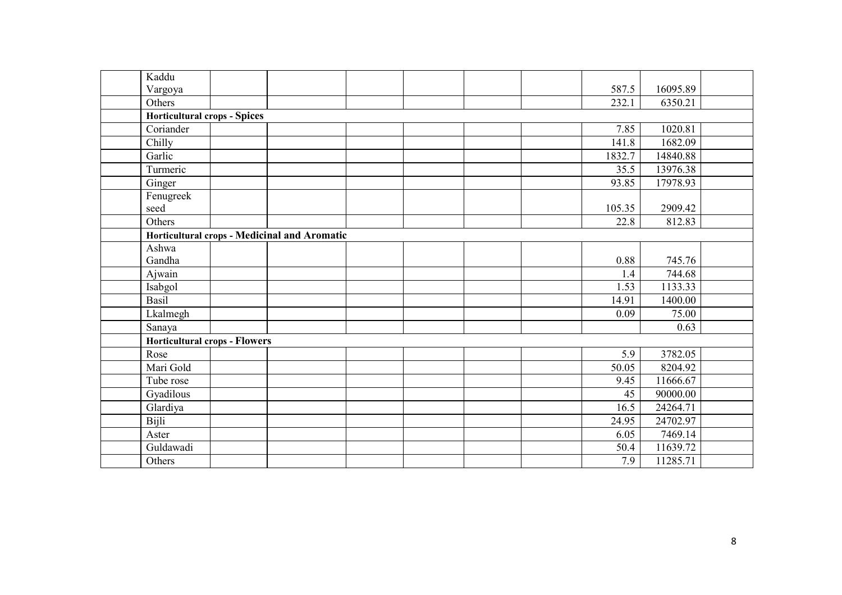| Kaddu     |                                              |  |  |        |          |  |
|-----------|----------------------------------------------|--|--|--------|----------|--|
| Vargoya   |                                              |  |  | 587.5  | 16095.89 |  |
| Others    |                                              |  |  | 232.1  | 6350.21  |  |
|           | <b>Horticultural crops - Spices</b>          |  |  |        |          |  |
| Coriander |                                              |  |  | 7.85   | 1020.81  |  |
| Chilly    |                                              |  |  | 141.8  | 1682.09  |  |
| Garlic    |                                              |  |  | 1832.7 | 14840.88 |  |
| Turmeric  |                                              |  |  | 35.5   | 13976.38 |  |
| Ginger    |                                              |  |  | 93.85  | 17978.93 |  |
| Fenugreek |                                              |  |  |        |          |  |
| seed      |                                              |  |  | 105.35 | 2909.42  |  |
| Others    |                                              |  |  | 22.8   | 812.83   |  |
|           | Horticultural crops - Medicinal and Aromatic |  |  |        |          |  |
| Ashwa     |                                              |  |  |        |          |  |
| Gandha    |                                              |  |  | 0.88   | 745.76   |  |
| Ajwain    |                                              |  |  | 1.4    | 744.68   |  |
| Isabgol   |                                              |  |  | 1.53   | 1133.33  |  |
| Basil     |                                              |  |  | 14.91  | 1400.00  |  |
| Lkalmegh  |                                              |  |  | 0.09   | 75.00    |  |
| Sanaya    |                                              |  |  |        | 0.63     |  |
|           | <b>Horticultural crops - Flowers</b>         |  |  |        |          |  |
| Rose      |                                              |  |  | 5.9    | 3782.05  |  |
| Mari Gold |                                              |  |  | 50.05  | 8204.92  |  |
| Tube rose |                                              |  |  | 9.45   | 11666.67 |  |
| Gyadilous |                                              |  |  | 45     | 90000.00 |  |
| Glardiya  |                                              |  |  | 16.5   | 24264.71 |  |
| Bijli     |                                              |  |  | 24.95  | 24702.97 |  |
| Aster     |                                              |  |  | 6.05   | 7469.14  |  |
| Guldawadi |                                              |  |  | 50.4   | 11639.72 |  |
| Others    |                                              |  |  | 7.9    | 11285.71 |  |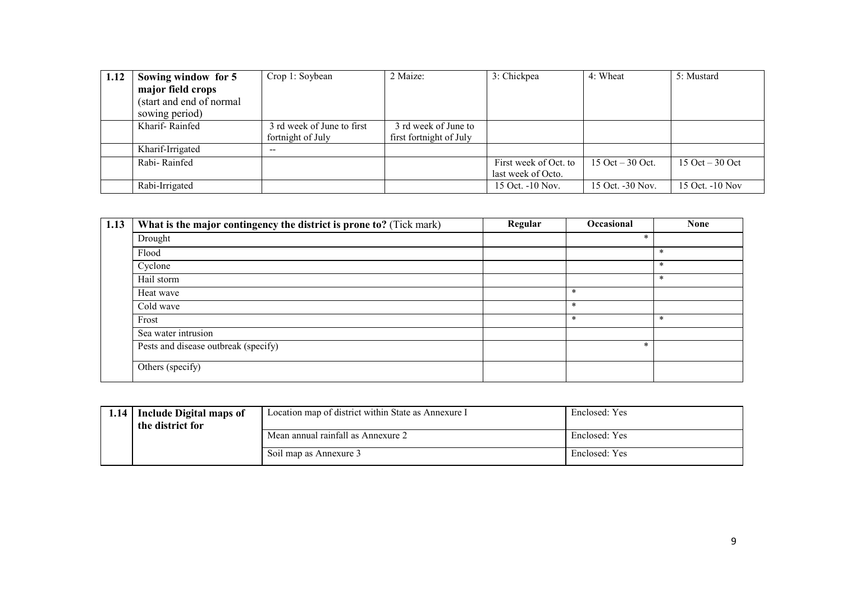| 1.12 | Sowing window for 5      | Crop 1: Soybean            | 2 Maize:                | 3: Chickpea           | 4: Wheat             | 5: Mustard         |
|------|--------------------------|----------------------------|-------------------------|-----------------------|----------------------|--------------------|
|      | major field crops        |                            |                         |                       |                      |                    |
|      | (start and end of normal |                            |                         |                       |                      |                    |
|      | sowing period)           |                            |                         |                       |                      |                    |
|      | Kharif-Rainfed           | 3 rd week of June to first | 3 rd week of June to    |                       |                      |                    |
|      |                          | fortnight of July          | first fortnight of July |                       |                      |                    |
|      | Kharif-Irrigated         | --                         |                         |                       |                      |                    |
|      | Rabi-Rainfed             |                            |                         | First week of Oct. to | 15 Oct $-30$ Oct.    | $15$ Oct $-30$ Oct |
|      |                          |                            |                         | last week of Octo.    |                      |                    |
|      | Rabi-Irrigated           |                            |                         | $15$ Oct. $-10$ Nov.  | $15$ Oct. $-30$ Nov. | 15 Oct. $-10$ Nov  |

| 1.13 | What is the major contingency the district is prone to? (Tick mark) | Regular | Occasional | <b>None</b> |
|------|---------------------------------------------------------------------|---------|------------|-------------|
|      | Drought                                                             |         | $\ast$     |             |
|      | Flood                                                               |         |            | *           |
|      | Cyclone                                                             |         |            | $\ast$      |
|      | Hail storm                                                          |         |            | $\ast$      |
|      | Heat wave                                                           |         | $\ast$     |             |
|      | Cold wave                                                           |         | $\ast$     |             |
|      | Frost                                                               |         | $\ast$     | $\ast$      |
|      | Sea water intrusion                                                 |         |            |             |
|      | Pests and disease outbreak (specify)                                |         | $\ast$     |             |
|      | Others (specify)                                                    |         |            |             |

| 1.14 | Include Digital maps of<br>the district for | Location map of district within State as Annexure I | Enclosed: Yes |
|------|---------------------------------------------|-----------------------------------------------------|---------------|
|      |                                             | Mean annual rainfall as Annexure 2                  | Enclosed: Yes |
|      |                                             | Soil map as Annexure 3                              | Enclosed: Yes |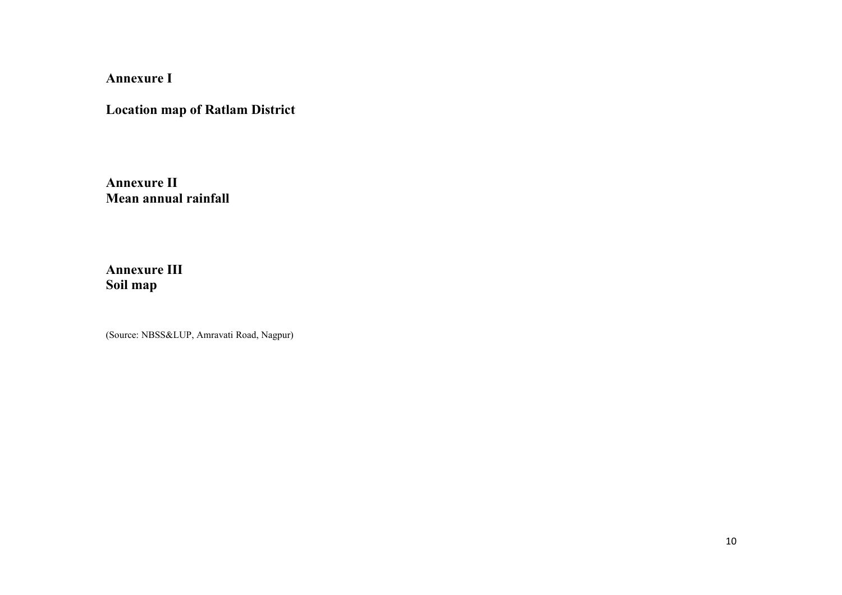Annexure I

Location map of Ratlam District

Annexure II Mean annual rainfall

Annexure III Soil map

(Source: NBSS&LUP, Amravati Road, Nagpur)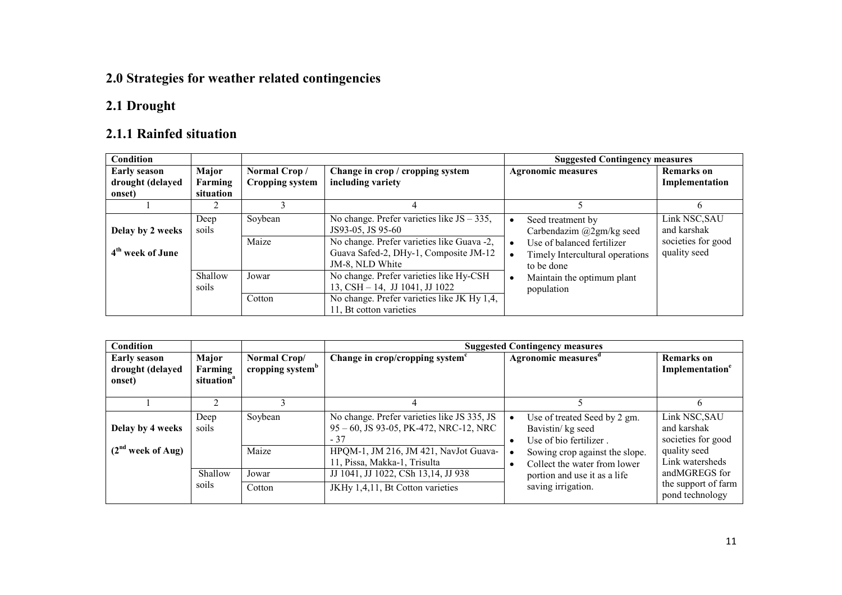## 2.0 Strategies for weather related contingencies

## 2.1 Drought

## 2.1.1 Rainfed situation

| <b>Condition</b>             |                  |                        |                                                                                                        | <b>Suggested Contingency measures</b>                                       |                                    |
|------------------------------|------------------|------------------------|--------------------------------------------------------------------------------------------------------|-----------------------------------------------------------------------------|------------------------------------|
| <b>Early season</b>          | Major            | Normal Crop/           | Change in crop / cropping system                                                                       | <b>Agronomic measures</b>                                                   | <b>Remarks</b> on                  |
| drought (delayed             | Farming          | <b>Cropping system</b> | including variety                                                                                      |                                                                             | Implementation                     |
| onset)                       | situation        |                        |                                                                                                        |                                                                             |                                    |
|                              |                  |                        |                                                                                                        |                                                                             | 6                                  |
| Delay by 2 weeks             | Deep<br>soils    | Soybean                | No change. Prefer varieties like $JS - 335$ ,<br>JS93-05, JS 95-60                                     | Seed treatment by<br>Carbendazim @2gm/kg seed                               | Link NSC, SAU<br>and karshak       |
| 4 <sup>th</sup> week of June |                  | Maize                  | No change. Prefer varieties like Guava -2,<br>Guava Safed-2, DHy-1, Composite JM-12<br>JM-8, NLD White | Use of balanced fertilizer<br>Timely Intercultural operations<br>to be done | societies for good<br>quality seed |
|                              | Shallow<br>soils | Jowar                  | No change. Prefer varieties like Hy-CSH<br>$13, \text{CSH} - 14, \text{JJ } 1041, \text{JJ } 1022$     | Maintain the optimum plant<br>population                                    |                                    |
|                              |                  | Cotton                 | No change. Prefer varieties like $\overline{JK}$ Hy 1,4,<br>11. Bt cotton varieties                    |                                                                             |                                    |

| <b>Condition</b>                                  |                                            |                                              | <b>Suggested Contingency measures</b>                                                          |                                                                             |                                                                                            |  |
|---------------------------------------------------|--------------------------------------------|----------------------------------------------|------------------------------------------------------------------------------------------------|-----------------------------------------------------------------------------|--------------------------------------------------------------------------------------------|--|
| <b>Early season</b><br>drought (delayed<br>onset) | Major<br>Farming<br>situation <sup>a</sup> | Normal Crop/<br>cropping system <sup>b</sup> | Change in crop/cropping system <sup>c</sup>                                                    | Agronomic measures <sup>d</sup>                                             | <b>Remarks</b> on<br>Implementation <sup>e</sup>                                           |  |
|                                                   |                                            |                                              |                                                                                                |                                                                             | 6                                                                                          |  |
| Delay by 4 weeks                                  | Deep<br>soils                              | Soybean                                      | No change. Prefer varieties like JS 335, JS<br>95 – 60, JS 93-05, PK-472, NRC-12, NRC<br>$-37$ | Use of treated Seed by 2 gm.<br>Bavistin/ kg seed<br>Use of bio fertilizer. | Link NSC, SAU<br>and karshak<br>societies for good                                         |  |
| $(2nd$ week of Aug)                               |                                            | Maize                                        | HPQM-1, JM 216, JM 421, NavJot Guava-<br>11, Pissa, Makka-1, Trisulta                          | Sowing crop against the slope.<br>Collect the water from lower              | quality seed<br>Link watersheds<br>andMGREGS for<br>the support of farm<br>pond technology |  |
|                                                   | Shallow<br>soils                           | Jowar<br>Cotton                              | JJ 1041, JJ 1022, CSh 13,14, JJ 938<br>JKHy 1,4,11, Bt Cotton varieties                        | portion and use it as a life<br>saving irrigation.                          |                                                                                            |  |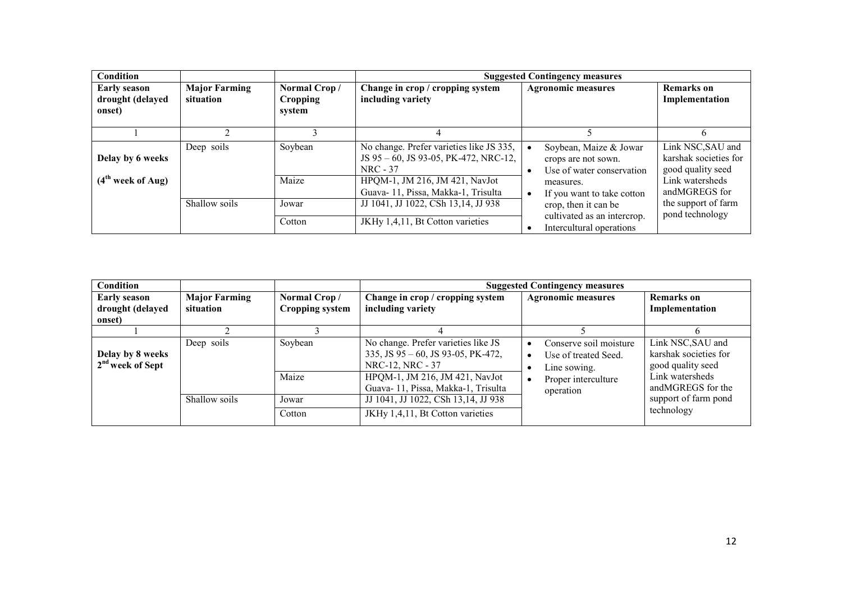| <b>Condition</b><br><b>Suggested Contingency measures</b> |                                   |                                           |                                                                                                      |                                                                            |                                                                 |
|-----------------------------------------------------------|-----------------------------------|-------------------------------------------|------------------------------------------------------------------------------------------------------|----------------------------------------------------------------------------|-----------------------------------------------------------------|
| <b>Early season</b><br>drought (delayed<br>onset)         | <b>Major Farming</b><br>situation | Normal Crop/<br><b>Cropping</b><br>system | Change in crop / cropping system<br>including variety                                                | <b>Agronomic measures</b>                                                  | <b>Remarks</b> on<br>Implementation                             |
|                                                           |                                   |                                           |                                                                                                      |                                                                            |                                                                 |
| Delay by 6 weeks                                          | Deep soils                        | Soybean                                   | No change. Prefer varieties like JS 335,<br>JS 95 – 60, JS 93-05, PK-472, NRC-12,<br><b>NRC - 37</b> | Soybean, Maize & Jowar<br>crops are not sown.<br>Use of water conservation | Link NSC, SAU and<br>karshak societies for<br>good quality seed |
| (4 <sup>th</sup> week of Aug)                             |                                   | Maize                                     | HPQM-1, JM 216, JM 421, NavJot<br>Guava-11, Pissa, Makka-1, Trisulta                                 | measures.<br>If you want to take cotton                                    | Link watersheds<br>andMGREGS for                                |
|                                                           | Shallow soils                     | Jowar                                     | JJ 1041, JJ 1022, CSh 13,14, JJ 938                                                                  | crop, then it can be<br>cultivated as an intercrop.                        | the support of farm<br>pond technology                          |
|                                                           |                                   | Cotton                                    | JKHy 1,4,11, Bt Cotton varieties                                                                     | Intercultural operations                                                   |                                                                 |

| <b>Condition</b>                                  |                                   |                                        | <b>Suggested Contingency measures</b>                                                                 |                                                                |                                                                 |  |
|---------------------------------------------------|-----------------------------------|----------------------------------------|-------------------------------------------------------------------------------------------------------|----------------------------------------------------------------|-----------------------------------------------------------------|--|
| <b>Early season</b><br>drought (delayed<br>onset) | <b>Major Farming</b><br>situation | Normal Crop/<br><b>Cropping system</b> | Change in crop / cropping system<br>including variety                                                 | <b>Agronomic measures</b>                                      | Remarks on<br>Implementation                                    |  |
|                                                   |                                   |                                        |                                                                                                       |                                                                |                                                                 |  |
| Delay by 8 weeks<br>2 <sup>nd</sup> week of Sept  | Deep soils                        | Soybean                                | No change. Prefer varieties like JS<br>335, JS $95 - 60$ , JS $93 - 05$ , PK-472,<br>NRC-12, NRC - 37 | Conserve soil moisture<br>Use of treated Seed.<br>Line sowing. | Link NSC, SAU and<br>karshak societies for<br>good quality seed |  |
|                                                   |                                   | Maize                                  | HPQM-1, JM 216, JM 421, NavJot<br>Guava-11, Pissa, Makka-1, Trisulta                                  | Proper interculture<br>operation                               | Link watersheds<br>andMGREGS for the                            |  |
|                                                   | Shallow soils                     | Jowar                                  | JJ 1041, JJ 1022, CSh 13,14, JJ 938                                                                   |                                                                | support of farm pond                                            |  |
|                                                   |                                   | Cotton                                 | JKHy 1,4,11, Bt Cotton varieties                                                                      |                                                                | technology                                                      |  |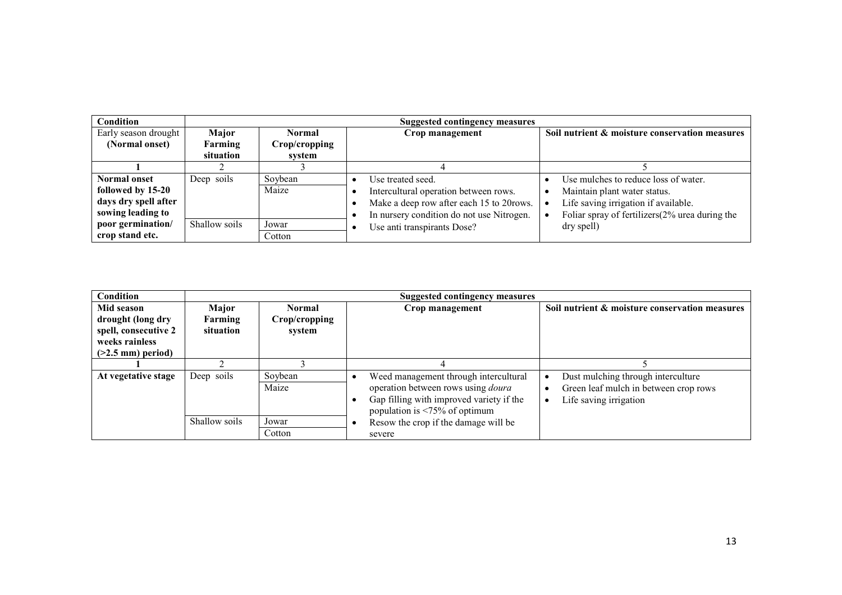| <b>Condition</b>     | Suggested contingency measures |               |                                           |                                                    |  |
|----------------------|--------------------------------|---------------|-------------------------------------------|----------------------------------------------------|--|
| Early season drought | Major                          | Normal        | Crop management                           | Soil nutrient & moisture conservation measures     |  |
| (Normal onset)       | Farming                        | Crop/cropping |                                           |                                                    |  |
|                      | situation                      | system        |                                           |                                                    |  |
|                      |                                |               |                                           |                                                    |  |
| <b>Normal onset</b>  | Deep soils                     | Soybean       | Use treated seed.                         | Use mulches to reduce loss of water.               |  |
| followed by 15-20    |                                | Maize         | Intercultural operation between rows.     | Maintain plant water status.<br>$\bullet$          |  |
| days dry spell after |                                |               | Make a deep row after each 15 to 20rows.  | Life saving irrigation if available.               |  |
| sowing leading to    |                                |               | In nursery condition do not use Nitrogen. | Foliar spray of fertilizers $(2\%$ urea during the |  |
| poor germination/    | Shallow soils                  | Jowar         | Use anti transpirants Dose?               | dry spell)                                         |  |
| crop stand etc.      |                                | Cotton        |                                           |                                                    |  |

| <b>Condition</b>                                                                                 | Suggested contingency measures |                                   |                                                                                                                                                                                           |                                                                                                       |  |  |
|--------------------------------------------------------------------------------------------------|--------------------------------|-----------------------------------|-------------------------------------------------------------------------------------------------------------------------------------------------------------------------------------------|-------------------------------------------------------------------------------------------------------|--|--|
| Mid season<br>drought (long dry<br>spell, consecutive 2<br>weeks rainless<br>$(>2.5$ mm) period) | Major<br>Farming<br>situation  | Normal<br>Crop/cropping<br>system | Crop management                                                                                                                                                                           | Soil nutrient & moisture conservation measures                                                        |  |  |
|                                                                                                  |                                |                                   |                                                                                                                                                                                           |                                                                                                       |  |  |
| At vegetative stage                                                                              | Deep soils                     | Soybean<br>Maize                  | Weed management through intercultural<br>operation between rows using <i>doura</i><br>Gap filling with improved variety if the<br>population is $\langle 75\% \text{ of optimum} \rangle$ | Dust mulching through interculture<br>Green leaf mulch in between crop rows<br>Life saving irrigation |  |  |
|                                                                                                  | Shallow soils                  | Jowar<br>Cotton                   | Resow the crop if the damage will be<br>severe                                                                                                                                            |                                                                                                       |  |  |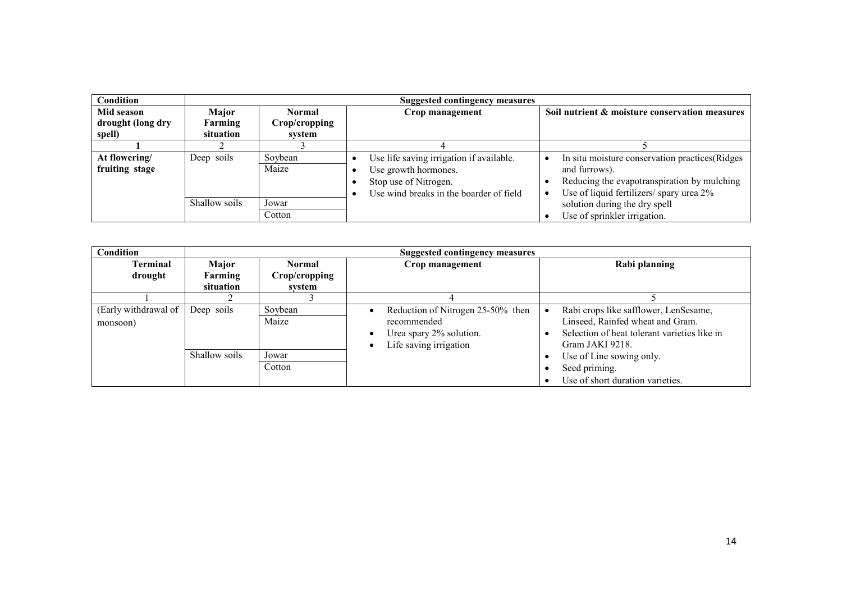| <b>Condition</b>  | <b>Suggested contingency measures</b> |               |                                          |                                                 |  |
|-------------------|---------------------------------------|---------------|------------------------------------------|-------------------------------------------------|--|
| Mid season        | Major                                 | Normal        | Crop management                          | Soil nutrient & moisture conservation measures  |  |
| drought (long dry | Farming                               | Crop/cropping |                                          |                                                 |  |
| spell)            | situation                             | system        |                                          |                                                 |  |
|                   |                                       |               |                                          |                                                 |  |
| At flowering/     | Deep soils                            | Soybean       | Use life saving irrigation if available. | In situ moisture conservation practices (Ridges |  |
| fruiting stage    |                                       | Maize         | Use growth hormones.                     | and furrows).                                   |  |
|                   |                                       |               | Stop use of Nitrogen.                    | Reducing the evapotranspiration by mulching     |  |
|                   |                                       |               | Use wind breaks in the boarder of field  | Use of liquid fertilizers/ spary urea 2%        |  |
|                   | Shallow soils                         | Jowar         |                                          | solution during the dry spell                   |  |
|                   |                                       | Cotton        |                                          | Use of sprinkler irrigation.                    |  |

| <b>Condition</b>                 |               | <b>Suggested contingency measures</b> |                                                                                                       |                                                                                                                                              |
|----------------------------------|---------------|---------------------------------------|-------------------------------------------------------------------------------------------------------|----------------------------------------------------------------------------------------------------------------------------------------------|
| <b>Terminal</b>                  | Major         | <b>Normal</b>                         | Crop management                                                                                       | Rabi planning                                                                                                                                |
| drought                          | Farming       | Crop/cropping                         |                                                                                                       |                                                                                                                                              |
|                                  | situation     | system                                |                                                                                                       |                                                                                                                                              |
|                                  |               |                                       |                                                                                                       |                                                                                                                                              |
| (Early withdrawal of<br>monsoon) | Deep soils    | Soybean<br>Maize                      | Reduction of Nitrogen 25-50% then<br>recommended<br>Urea spary 2% solution.<br>Life saving irrigation | Rabi crops like safflower, LenSesame,<br>Linseed, Rainfed wheat and Gram.<br>Selection of heat tolerant varieties like in<br>Gram JAKI 9218. |
|                                  | Shallow soils | Jowar<br>Cotton                       |                                                                                                       | Use of Line sowing only.<br>Seed priming.<br>Use of short duration varieties.                                                                |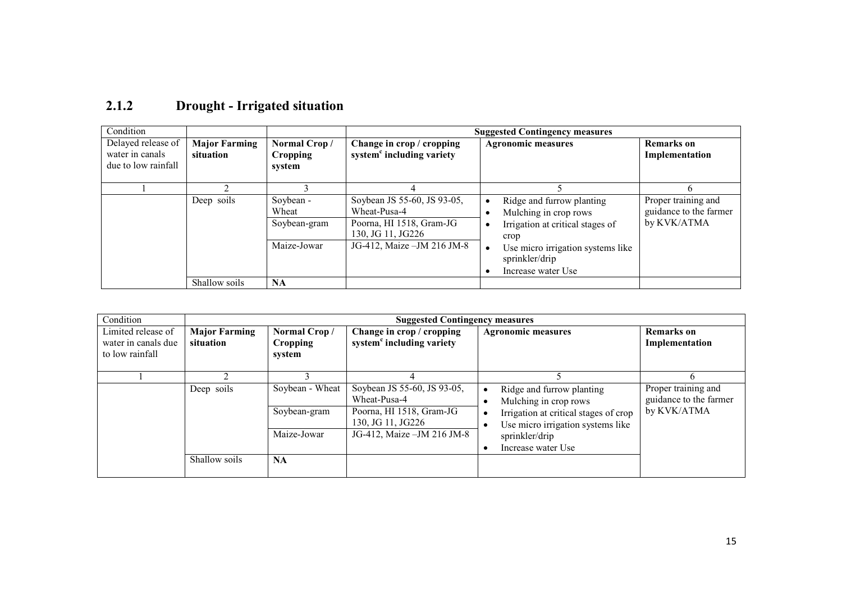| Condition                                                    |                                   |                                           | <b>Suggested Contingency measures</b>                                                        |                                                                                                |                                                              |  |
|--------------------------------------------------------------|-----------------------------------|-------------------------------------------|----------------------------------------------------------------------------------------------|------------------------------------------------------------------------------------------------|--------------------------------------------------------------|--|
| Delayed release of<br>water in canals<br>due to low rainfall | <b>Major Farming</b><br>situation | Normal Crop/<br><b>Cropping</b><br>system | Change in crop / cropping<br>system <sup>c</sup> including variety                           | <b>Agronomic measures</b>                                                                      | <b>Remarks</b> on<br>Implementation                          |  |
|                                                              |                                   |                                           |                                                                                              |                                                                                                | h                                                            |  |
|                                                              | Deep soils                        | Soybean -<br>Wheat<br>Soybean-gram        | Soybean JS 55-60, JS 93-05,<br>Wheat-Pusa-4<br>Poorna, HI 1518, Gram-JG<br>130, JG 11, JG226 | Ridge and furrow planting<br>Mulching in crop rows<br>Irrigation at critical stages of<br>crop | Proper training and<br>guidance to the farmer<br>by KVK/ATMA |  |
|                                                              |                                   | Maize-Jowar                               | JG-412, Maize - JM 216 JM-8                                                                  | Use micro irrigation systems like<br>sprinkler/drip<br>Increase water Use                      |                                                              |  |
|                                                              | Shallow soils                     | <b>NA</b>                                 |                                                                                              |                                                                                                |                                                              |  |

| 2.1.2 | Drought - Irrigated situation |  |
|-------|-------------------------------|--|
|       |                               |  |

| Condition                                                    |                                   | <b>Suggested Contingency measures</b>     |                                                                                              |                                                                                                                                  |                                                              |  |  |  |
|--------------------------------------------------------------|-----------------------------------|-------------------------------------------|----------------------------------------------------------------------------------------------|----------------------------------------------------------------------------------------------------------------------------------|--------------------------------------------------------------|--|--|--|
| Limited release of<br>water in canals due<br>to low rainfall | <b>Major Farming</b><br>situation | Normal Crop/<br><b>Cropping</b><br>system | Change in crop / cropping<br>system <sup>c</sup> including variety                           | <b>Agronomic measures</b>                                                                                                        | <b>Remarks</b> on<br>Implementation                          |  |  |  |
|                                                              |                                   |                                           |                                                                                              |                                                                                                                                  |                                                              |  |  |  |
|                                                              | Deep soils                        | Soybean - Wheat<br>Soybean-gram           | Soybean JS 55-60, JS 93-05,<br>Wheat-Pusa-4<br>Poorna, HI 1518, Gram-JG<br>130, JG 11, JG226 | Ridge and furrow planting<br>Mulching in crop rows<br>Irrigation at critical stages of crop<br>Use micro irrigation systems like | Proper training and<br>guidance to the farmer<br>by KVK/ATMA |  |  |  |
|                                                              |                                   | Maize-Jowar                               | JG-412, Maize - JM 216 JM-8                                                                  | sprinkler/drip<br>Increase water Use                                                                                             |                                                              |  |  |  |
|                                                              | Shallow soils                     | <b>NA</b>                                 |                                                                                              |                                                                                                                                  |                                                              |  |  |  |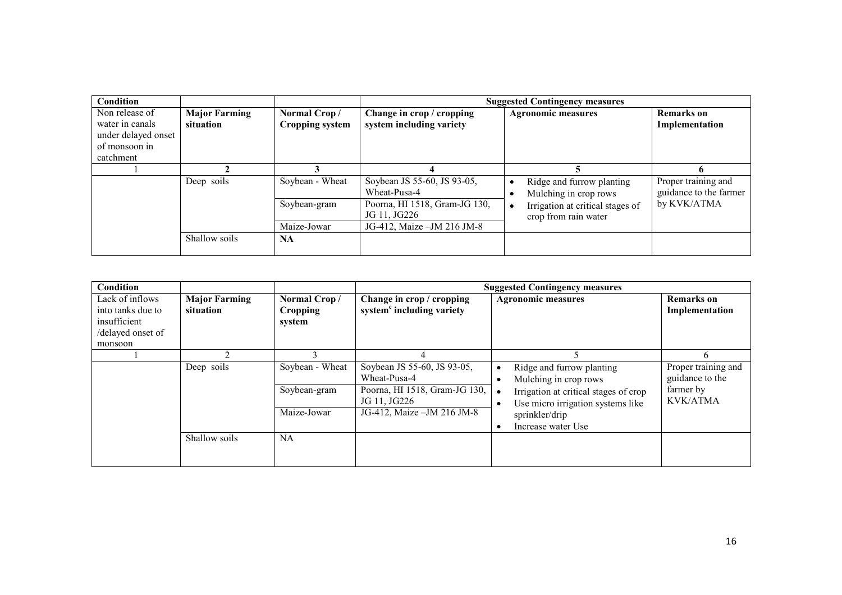| <b>Condition</b>                                                                       |                                   |                                        | <b>Suggested Contingency measures</b>                 |                                                          |                                               |  |
|----------------------------------------------------------------------------------------|-----------------------------------|----------------------------------------|-------------------------------------------------------|----------------------------------------------------------|-----------------------------------------------|--|
| Non release of<br>water in canals<br>under delayed onset<br>of monsoon in<br>catchment | <b>Major Farming</b><br>situation | Normal Crop/<br><b>Cropping system</b> | Change in crop / cropping<br>system including variety | <b>Agronomic measures</b>                                | Remarks on<br>Implementation                  |  |
|                                                                                        |                                   |                                        |                                                       |                                                          |                                               |  |
|                                                                                        | Deep soils                        | Soybean - Wheat                        | Soybean JS 55-60, JS 93-05,<br>Wheat-Pusa-4           | Ridge and furrow planting<br>Mulching in crop rows       | Proper training and<br>guidance to the farmer |  |
|                                                                                        |                                   | Soybean-gram                           | Poorna, HI 1518, Gram-JG 130,<br>JG 11, JG226         | Irrigation at critical stages of<br>crop from rain water | by KVK/ATMA                                   |  |
|                                                                                        |                                   | Maize-Jowar                            | JG-412, Maize - JM 216 JM-8                           |                                                          |                                               |  |
|                                                                                        | Shallow soils                     | <b>NA</b>                              |                                                       |                                                          |                                               |  |

| Condition                                                                            |                                   |                                    | <b>Suggested Contingency measures</b>                                                        |                                                                                                                                               |                                                                        |  |
|--------------------------------------------------------------------------------------|-----------------------------------|------------------------------------|----------------------------------------------------------------------------------------------|-----------------------------------------------------------------------------------------------------------------------------------------------|------------------------------------------------------------------------|--|
| Lack of inflows<br>into tanks due to<br>insufficient<br>/delayed onset of<br>monsoon | <b>Major Farming</b><br>situation | Normal Crop/<br>Cropping<br>system | Change in crop / cropping<br>system <sup>c</sup> including variety                           | <b>Agronomic measures</b>                                                                                                                     | <b>Remarks</b> on<br>Implementation                                    |  |
|                                                                                      |                                   |                                    |                                                                                              |                                                                                                                                               | 6                                                                      |  |
|                                                                                      | Deep soils                        | Soybean - Wheat<br>Soybean-gram    | Soybean JS 55-60, JS 93-05,<br>Wheat-Pusa-4<br>Poorna, HI 1518, Gram-JG 130,<br>JG 11, JG226 | Ridge and furrow planting<br>Mulching in crop rows<br>Irrigation at critical stages of crop<br>$\bullet$<br>Use micro irrigation systems like | Proper training and<br>guidance to the<br>farmer by<br><b>KVK/ATMA</b> |  |
|                                                                                      |                                   | Maize-Jowar                        | JG-412, Maize - JM 216 JM-8                                                                  | sprinkler/drip<br>Increase water Use                                                                                                          |                                                                        |  |
|                                                                                      | Shallow soils                     | NA                                 |                                                                                              |                                                                                                                                               |                                                                        |  |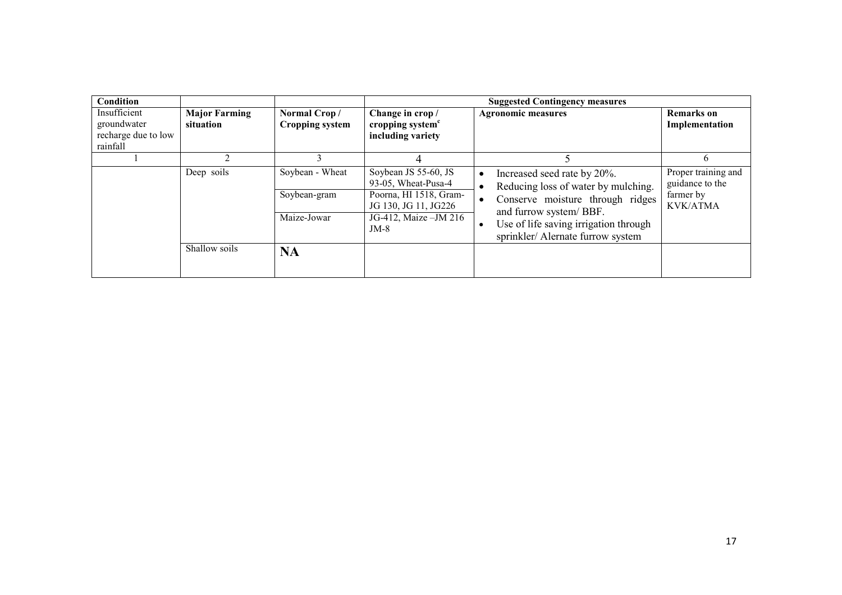| Condition                                                      |                                   |                                                | <b>Suggested Contingency measures</b>                                                                                             |                                                                                                                                                                                                                                                                    |                                                                        |  |
|----------------------------------------------------------------|-----------------------------------|------------------------------------------------|-----------------------------------------------------------------------------------------------------------------------------------|--------------------------------------------------------------------------------------------------------------------------------------------------------------------------------------------------------------------------------------------------------------------|------------------------------------------------------------------------|--|
| Insufficient<br>groundwater<br>recharge due to low<br>rainfall | <b>Major Farming</b><br>situation | Normal Crop/<br><b>Cropping system</b>         | Change in crop/<br>cropping system <sup>c</sup><br>including variety                                                              | <b>Agronomic measures</b>                                                                                                                                                                                                                                          | <b>Remarks</b> on<br>Implementation                                    |  |
|                                                                |                                   |                                                |                                                                                                                                   |                                                                                                                                                                                                                                                                    | 6                                                                      |  |
|                                                                | Deep soils                        | Soybean - Wheat<br>Soybean-gram<br>Maize-Jowar | Soybean JS 55-60, JS<br>93-05, Wheat-Pusa-4<br>Poorna, HI 1518, Gram-<br>JG 130, JG 11, JG226<br>JG-412, Maize - JM 216<br>$JM-8$ | Increased seed rate by 20%.<br>$\bullet$<br>Reducing loss of water by mulching.<br>$\bullet$<br>Conserve moisture through ridges<br>$\bullet$<br>and furrow system/BBF.<br>Use of life saving irrigation through<br>$\bullet$<br>sprinkler/ Alernate furrow system | Proper training and<br>guidance to the<br>farmer by<br><b>KVK/ATMA</b> |  |
|                                                                | Shallow soils                     | <b>NA</b>                                      |                                                                                                                                   |                                                                                                                                                                                                                                                                    |                                                                        |  |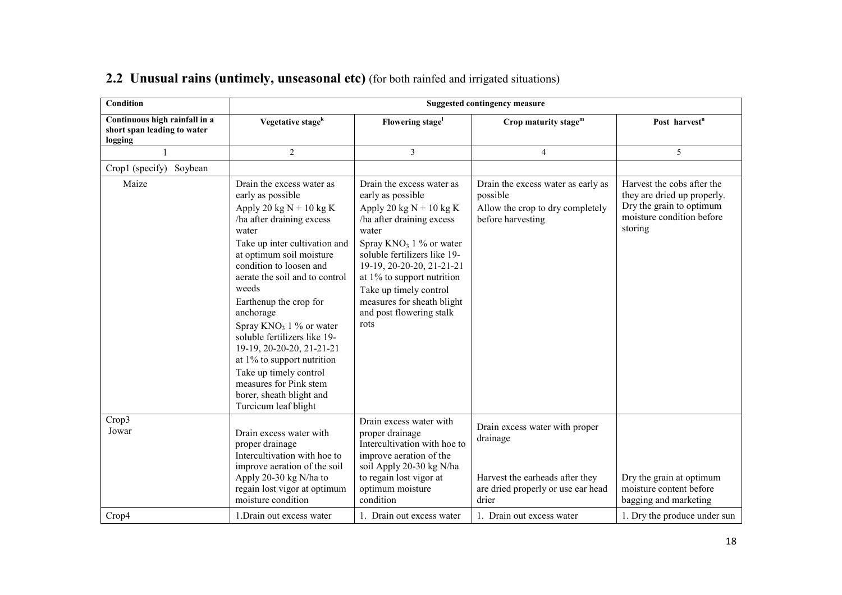| Condition                                                               | Suggested contingency measure                                                                                                                                                                                                                                                                                                                                                                                                                                                                                                |                                                                                                                                                                                                                                                                                                                                        |                                                                                                                              |                                                                                                                               |  |  |  |
|-------------------------------------------------------------------------|------------------------------------------------------------------------------------------------------------------------------------------------------------------------------------------------------------------------------------------------------------------------------------------------------------------------------------------------------------------------------------------------------------------------------------------------------------------------------------------------------------------------------|----------------------------------------------------------------------------------------------------------------------------------------------------------------------------------------------------------------------------------------------------------------------------------------------------------------------------------------|------------------------------------------------------------------------------------------------------------------------------|-------------------------------------------------------------------------------------------------------------------------------|--|--|--|
| Continuous high rainfall in a<br>short span leading to water<br>logging | Vegetative stage <sup>k</sup>                                                                                                                                                                                                                                                                                                                                                                                                                                                                                                | Flowering stage <sup>1</sup>                                                                                                                                                                                                                                                                                                           | Crop maturity stage <sup>m</sup>                                                                                             | Post harvest <sup>n</sup>                                                                                                     |  |  |  |
|                                                                         | $\overline{2}$                                                                                                                                                                                                                                                                                                                                                                                                                                                                                                               | $\overline{3}$                                                                                                                                                                                                                                                                                                                         | $\overline{4}$                                                                                                               | 5                                                                                                                             |  |  |  |
| Crop1 (specify) Soybean                                                 |                                                                                                                                                                                                                                                                                                                                                                                                                                                                                                                              |                                                                                                                                                                                                                                                                                                                                        |                                                                                                                              |                                                                                                                               |  |  |  |
| Maize                                                                   | Drain the excess water as<br>early as possible<br>Apply 20 kg $N + 10$ kg K<br>/ha after draining excess<br>water<br>Take up inter cultivation and<br>at optimum soil moisture<br>condition to loosen and<br>aerate the soil and to control<br>weeds<br>Earthenup the crop for<br>anchorage<br>Spray $KNO_3$ 1 % or water<br>soluble fertilizers like 19-<br>19-19, 20-20-20, 21-21-21<br>at 1% to support nutrition<br>Take up timely control<br>measures for Pink stem<br>borer, sheath blight and<br>Turcicum leaf blight | Drain the excess water as<br>early as possible<br>Apply 20 kg $N + 10$ kg K<br>/ha after draining excess<br>water<br>Spray $KNO_3$ 1 % or water<br>soluble fertilizers like 19-<br>19-19, 20-20-20, 21-21-21<br>at 1% to support nutrition<br>Take up timely control<br>measures for sheath blight<br>and post flowering stalk<br>rots | Drain the excess water as early as<br>possible<br>Allow the crop to dry completely<br>before harvesting                      | Harvest the cobs after the<br>they are dried up properly.<br>Dry the grain to optimum<br>moisture condition before<br>storing |  |  |  |
| Crop3<br>Jowar                                                          | Drain excess water with<br>proper drainage<br>Intercultivation with hoe to<br>improve aeration of the soil<br>Apply 20-30 kg N/ha to<br>regain lost vigor at optimum<br>moisture condition                                                                                                                                                                                                                                                                                                                                   | Drain excess water with<br>proper drainage<br>Intercultivation with hoe to<br>improve aeration of the<br>soil Apply 20-30 kg N/ha<br>to regain lost vigor at<br>optimum moisture<br>condition                                                                                                                                          | Drain excess water with proper<br>drainage<br>Harvest the earheads after they<br>are dried properly or use ear head<br>drier | Dry the grain at optimum<br>moisture content before<br>bagging and marketing                                                  |  |  |  |
| Crop4                                                                   | 1. Drain out excess water                                                                                                                                                                                                                                                                                                                                                                                                                                                                                                    | 1. Drain out excess water                                                                                                                                                                                                                                                                                                              | 1. Drain out excess water                                                                                                    | 1. Dry the produce under sun                                                                                                  |  |  |  |

## 2.2 Unusual rains (untimely, unseasonal etc) (for both rainfed and irrigated situations)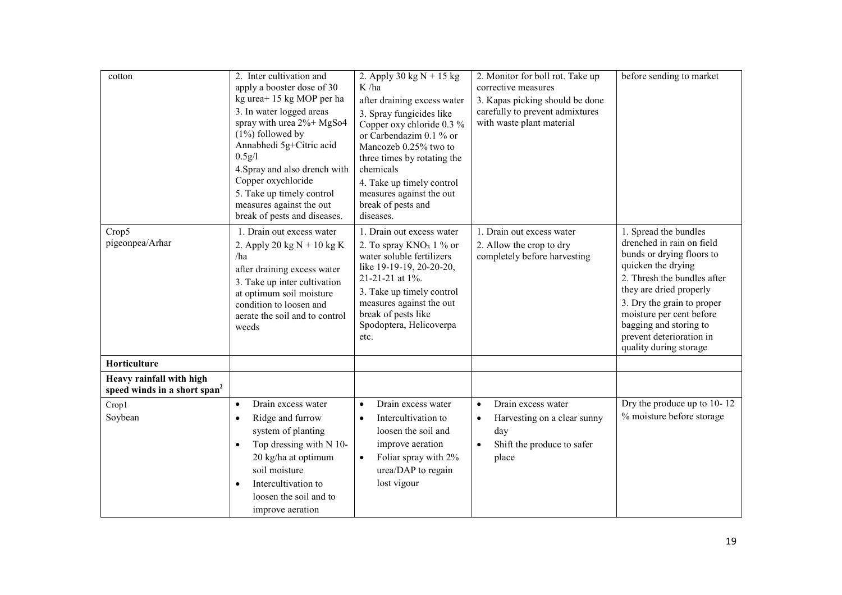| cotton                                                               | 2. Inter cultivation and<br>apply a booster dose of 30<br>kg urea+ 15 kg MOP per ha<br>3. In water logged areas<br>spray with urea 2%+ MgSo4<br>$(1%)$ followed by<br>Annabhedi 5g+Citric acid<br>0.5g/l<br>4. Spray and also drench with<br>Copper oxychloride<br>5. Take up timely control<br>measures against the out<br>break of pests and diseases. | 2. Apply 30 kg $N + 15$ kg<br>K/ha<br>after draining excess water<br>3. Spray fungicides like<br>Copper oxy chloride 0.3 %<br>or Carbendazim 0.1 % or<br>Mancozeb 0.25% two to<br>three times by rotating the<br>chemicals<br>4. Take up timely control<br>measures against the out<br>break of pests and<br>diseases. | 2. Monitor for boll rot. Take up<br>corrective measures<br>3. Kapas picking should be done<br>carefully to prevent admixtures<br>with waste plant material | before sending to market                                                                                                                                                                                                                                                                                  |
|----------------------------------------------------------------------|----------------------------------------------------------------------------------------------------------------------------------------------------------------------------------------------------------------------------------------------------------------------------------------------------------------------------------------------------------|------------------------------------------------------------------------------------------------------------------------------------------------------------------------------------------------------------------------------------------------------------------------------------------------------------------------|------------------------------------------------------------------------------------------------------------------------------------------------------------|-----------------------------------------------------------------------------------------------------------------------------------------------------------------------------------------------------------------------------------------------------------------------------------------------------------|
| Crop5<br>pigeonpea/Arhar                                             | 1. Drain out excess water<br>2. Apply 20 kg $N + 10$ kg K<br>/ha<br>after draining excess water<br>3. Take up inter cultivation<br>at optimum soil moisture<br>condition to loosen and<br>aerate the soil and to control<br>weeds                                                                                                                        | 1. Drain out excess water<br>2. To spray $KNO3 1$ % or<br>water soluble fertilizers<br>like 19-19-19, 20-20-20,<br>21-21-21 at 1%.<br>3. Take up timely control<br>measures against the out<br>break of pests like<br>Spodoptera, Helicoverpa<br>etc.                                                                  | 1. Drain out excess water<br>2. Allow the crop to dry<br>completely before harvesting                                                                      | 1. Spread the bundles<br>drenched in rain on field<br>bunds or drying floors to<br>quicken the drying<br>2. Thresh the bundles after<br>they are dried properly<br>3. Dry the grain to proper<br>moisture per cent before<br>bagging and storing to<br>prevent deterioration in<br>quality during storage |
| Horticulture                                                         |                                                                                                                                                                                                                                                                                                                                                          |                                                                                                                                                                                                                                                                                                                        |                                                                                                                                                            |                                                                                                                                                                                                                                                                                                           |
| Heavy rainfall with high<br>speed winds in a short span <sup>2</sup> |                                                                                                                                                                                                                                                                                                                                                          |                                                                                                                                                                                                                                                                                                                        |                                                                                                                                                            |                                                                                                                                                                                                                                                                                                           |
| Crop1<br>Soybean                                                     | Drain excess water<br>$\bullet$<br>Ridge and furrow<br>$\bullet$<br>system of planting<br>Top dressing with N 10-<br>$\bullet$<br>20 kg/ha at optimum<br>soil moisture<br>Intercultivation to<br>$\bullet$<br>loosen the soil and to<br>improve aeration                                                                                                 | Drain excess water<br>$\bullet$<br>Intercultivation to<br>$\bullet$<br>loosen the soil and<br>improve aeration<br>Foliar spray with 2%<br>$\bullet$<br>urea/DAP to regain<br>lost vigour                                                                                                                               | Drain excess water<br>$\bullet$<br>Harvesting on a clear sunny<br>$\bullet$<br>day<br>Shift the produce to safer<br>$\bullet$<br>place                     | Dry the produce up to $10-12$<br>% moisture before storage                                                                                                                                                                                                                                                |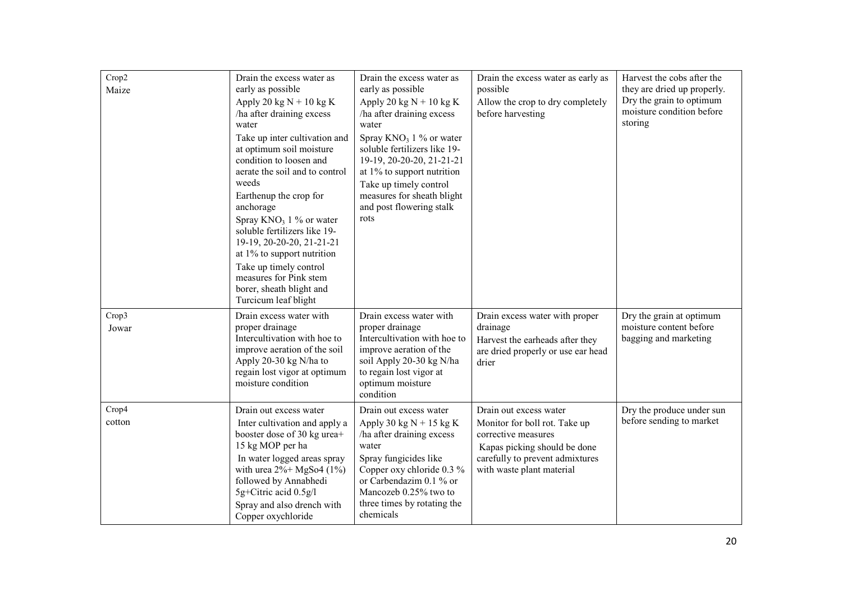| Crop2<br>Maize  | Drain the excess water as<br>early as possible<br>Apply 20 kg $N + 10$ kg K<br>ha after draining excess<br>water<br>Take up inter cultivation and<br>at optimum soil moisture<br>condition to loosen and<br>aerate the soil and to control<br>weeds<br>Earthenup the crop for<br>anchorage<br>Spray $KNO_3$ 1 % or water<br>soluble fertilizers like 19-<br>19-19, 20-20-20, 21-21-21<br>at $1\%$ to support nutrition<br>Take up timely control<br>measures for Pink stem<br>borer, sheath blight and<br>Turcicum leaf blight | Drain the excess water as<br>early as possible<br>Apply 20 kg $N + 10$ kg K<br>/ha after draining excess<br>water<br>Spray $KNO_3$ 1 % or water<br>soluble fertilizers like 19-<br>19-19, 20-20-20, 21-21-21<br>at 1% to support nutrition<br>Take up timely control<br>measures for sheath blight<br>and post flowering stalk<br>rots | Drain the excess water as early as<br>possible<br>Allow the crop to dry completely<br>before harvesting                                                                        | Harvest the cobs after the<br>they are dried up properly.<br>Dry the grain to optimum<br>moisture condition before<br>storing |
|-----------------|--------------------------------------------------------------------------------------------------------------------------------------------------------------------------------------------------------------------------------------------------------------------------------------------------------------------------------------------------------------------------------------------------------------------------------------------------------------------------------------------------------------------------------|----------------------------------------------------------------------------------------------------------------------------------------------------------------------------------------------------------------------------------------------------------------------------------------------------------------------------------------|--------------------------------------------------------------------------------------------------------------------------------------------------------------------------------|-------------------------------------------------------------------------------------------------------------------------------|
| Crop3<br>Jowar  | Drain excess water with<br>proper drainage<br>Intercultivation with hoe to<br>improve aeration of the soil<br>Apply 20-30 kg N/ha to<br>regain lost vigor at optimum<br>moisture condition                                                                                                                                                                                                                                                                                                                                     | Drain excess water with<br>proper drainage<br>Intercultivation with hoe to<br>improve aeration of the<br>soil Apply 20-30 kg N/ha<br>to regain lost vigor at<br>optimum moisture<br>condition                                                                                                                                          | Drain excess water with proper<br>drainage<br>Harvest the earheads after they<br>are dried properly or use ear head<br>drier                                                   | Dry the grain at optimum<br>moisture content before<br>bagging and marketing                                                  |
| Crop4<br>cotton | Drain out excess water<br>Inter cultivation and apply a<br>booster dose of 30 kg urea+<br>15 kg MOP per ha<br>In water logged areas spray<br>with urea $2\% + MgSo4$ (1%)<br>followed by Annabhedi<br>5g+Citric acid 0.5g/l<br>Spray and also drench with<br>Copper oxychloride                                                                                                                                                                                                                                                | Drain out excess water<br>Apply 30 kg $N + 15$ kg K<br>/ha after draining excess<br>water<br>Spray fungicides like<br>Copper oxy chloride 0.3 %<br>or Carbendazim 0.1 % or<br>Mancozeb 0.25% two to<br>three times by rotating the<br>chemicals                                                                                        | Drain out excess water<br>Monitor for boll rot. Take up<br>corrective measures<br>Kapas picking should be done<br>carefully to prevent admixtures<br>with waste plant material | Dry the produce under sun<br>before sending to market                                                                         |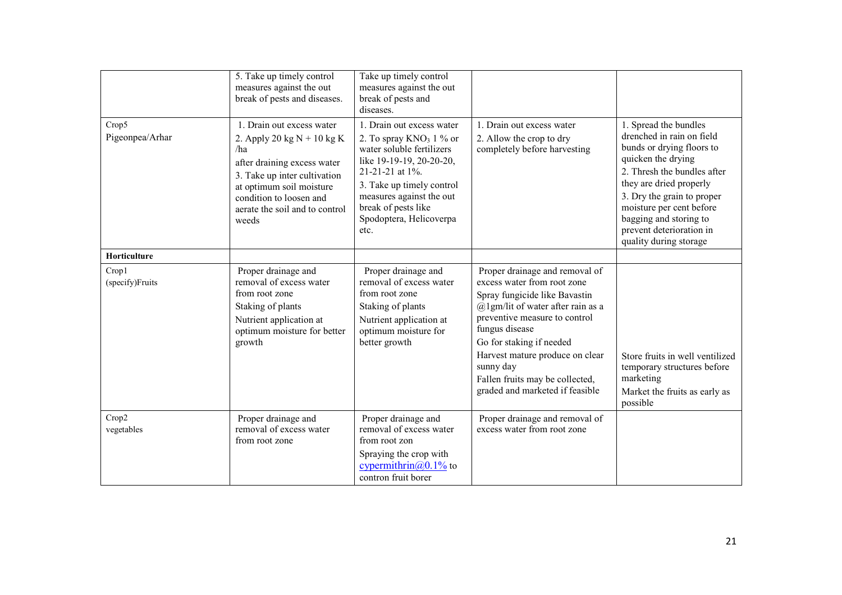|                          | 5. Take up timely control<br>measures against the out<br>break of pests and diseases.                                                                                                                                             | Take up timely control<br>measures against the out<br>break of pests and<br>diseases.                                                                                                                                                                 |                                                                                                                                                                                                                                                                                                                                             |                                                                                                                                                                                                                                                                                                           |
|--------------------------|-----------------------------------------------------------------------------------------------------------------------------------------------------------------------------------------------------------------------------------|-------------------------------------------------------------------------------------------------------------------------------------------------------------------------------------------------------------------------------------------------------|---------------------------------------------------------------------------------------------------------------------------------------------------------------------------------------------------------------------------------------------------------------------------------------------------------------------------------------------|-----------------------------------------------------------------------------------------------------------------------------------------------------------------------------------------------------------------------------------------------------------------------------------------------------------|
| Crop5<br>Pigeonpea/Arhar | 1. Drain out excess water<br>2. Apply 20 kg $N + 10$ kg K<br>/ha<br>after draining excess water<br>3. Take up inter cultivation<br>at optimum soil moisture<br>condition to loosen and<br>aerate the soil and to control<br>weeds | 1. Drain out excess water<br>2. To spray $KNO3 1$ % or<br>water soluble fertilizers<br>like 19-19-19, 20-20-20,<br>21-21-21 at 1%.<br>3. Take up timely control<br>measures against the out<br>break of pests like<br>Spodoptera, Helicoverpa<br>etc. | 1. Drain out excess water<br>2. Allow the crop to dry<br>completely before harvesting                                                                                                                                                                                                                                                       | 1. Spread the bundles<br>drenched in rain on field<br>bunds or drying floors to<br>quicken the drying<br>2. Thresh the bundles after<br>they are dried properly<br>3. Dry the grain to proper<br>moisture per cent before<br>bagging and storing to<br>prevent deterioration in<br>quality during storage |
| Horticulture             |                                                                                                                                                                                                                                   |                                                                                                                                                                                                                                                       |                                                                                                                                                                                                                                                                                                                                             |                                                                                                                                                                                                                                                                                                           |
| Crop1<br>(specify)Fruits | Proper drainage and<br>removal of excess water<br>from root zone<br>Staking of plants<br>Nutrient application at<br>optimum moisture for better<br>growth                                                                         | Proper drainage and<br>removal of excess water<br>from root zone<br>Staking of plants<br>Nutrient application at<br>optimum moisture for<br>better growth                                                                                             | Proper drainage and removal of<br>excess water from root zone<br>Spray fungicide like Bavastin<br>$@$ lgm/lit of water after rain as a<br>preventive measure to control<br>fungus disease<br>Go for staking if needed<br>Harvest mature produce on clear<br>sunny day<br>Fallen fruits may be collected,<br>graded and marketed if feasible | Store fruits in well ventilized<br>temporary structures before<br>marketing<br>Market the fruits as early as<br>possible                                                                                                                                                                                  |
| Crop2<br>vegetables      | Proper drainage and<br>removal of excess water<br>from root zone                                                                                                                                                                  | Proper drainage and<br>removal of excess water<br>from root zon<br>Spraying the crop with<br>cypermithrin $(a)$ 0.1% to<br>contron fruit borer                                                                                                        | Proper drainage and removal of<br>excess water from root zone                                                                                                                                                                                                                                                                               |                                                                                                                                                                                                                                                                                                           |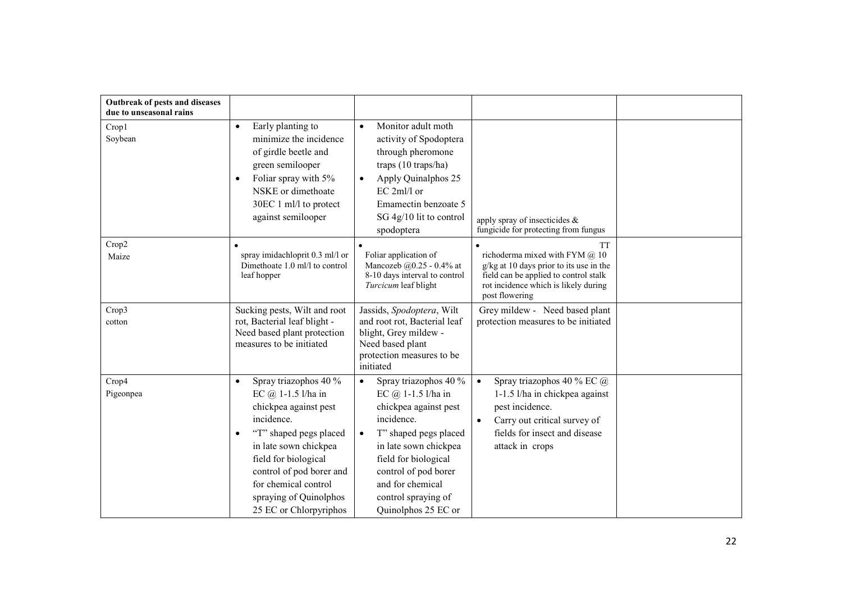| Outbreak of pests and diseases<br>due to unseasonal rains |                                                                                                                                                                                                                                                                                        |                                                                                                                                                                                                                                                                         |                                                                                                                                                                                               |  |
|-----------------------------------------------------------|----------------------------------------------------------------------------------------------------------------------------------------------------------------------------------------------------------------------------------------------------------------------------------------|-------------------------------------------------------------------------------------------------------------------------------------------------------------------------------------------------------------------------------------------------------------------------|-----------------------------------------------------------------------------------------------------------------------------------------------------------------------------------------------|--|
| Crop1<br>Soybean                                          | Early planting to<br>$\bullet$<br>minimize the incidence<br>of girdle beetle and<br>green semilooper<br>Foliar spray with 5%<br>$\bullet$<br>NSKE or dimethoate<br>30EC 1 ml/l to protect<br>against semilooper                                                                        | Monitor adult moth<br>$\bullet$<br>activity of Spodoptera<br>through pheromone<br>traps (10 traps/ha)<br>Apply Quinalphos 25<br>$\bullet$<br>$EC 2ml/l$ or<br>Emamectin benzoate 5<br>SG 4g/10 lit to control<br>spodoptera                                             | apply spray of insecticides $\&$<br>fungicide for protecting from fungus                                                                                                                      |  |
| Crop2<br>Maize                                            | spray imidachloprit 0.3 ml/l or<br>Dimethoate 1.0 ml/l to control<br>leaf hopper                                                                                                                                                                                                       | Foliar application of<br>Mancozeb @0.25 - 0.4% at<br>8-10 days interval to control<br>Turcicum leaf blight                                                                                                                                                              | TT<br>richoderma mixed with FYM @ 10<br>$g/kg$ at 10 days prior to its use in the<br>field can be applied to control stalk<br>rot incidence which is likely during<br>post flowering          |  |
| Crop3<br>cotton                                           | Sucking pests, Wilt and root<br>rot, Bacterial leaf blight -<br>Need based plant protection<br>measures to be initiated                                                                                                                                                                | Jassids, Spodoptera, Wilt<br>and root rot, Bacterial leaf<br>blight, Grey mildew -<br>Need based plant<br>protection measures to be<br>initiated                                                                                                                        | Grey mildew - Need based plant<br>protection measures to be initiated                                                                                                                         |  |
| Crop4<br>Pigeonpea                                        | Spray triazophos 40 %<br>$\bullet$<br>EC $(a)$ 1-1.5 l/ha in<br>chickpea against pest<br>incidence.<br>"T" shaped pegs placed<br>in late sown chickpea<br>field for biological<br>control of pod borer and<br>for chemical control<br>spraying of Quinolphos<br>25 EC or Chlorpyriphos | Spray triazophos 40 %<br>$\bullet$<br>EC $(a)$ 1-1.5 l/ha in<br>chickpea against pest<br>incidence.<br>T" shaped pegs placed<br>in late sown chickpea<br>field for biological<br>control of pod borer<br>and for chemical<br>control spraying of<br>Quinolphos 25 EC or | Spray triazophos 40 % EC @<br>$\bullet$<br>1-1.5 l/ha in chickpea against<br>pest incidence.<br>Carry out critical survey of<br>$\bullet$<br>fields for insect and disease<br>attack in crops |  |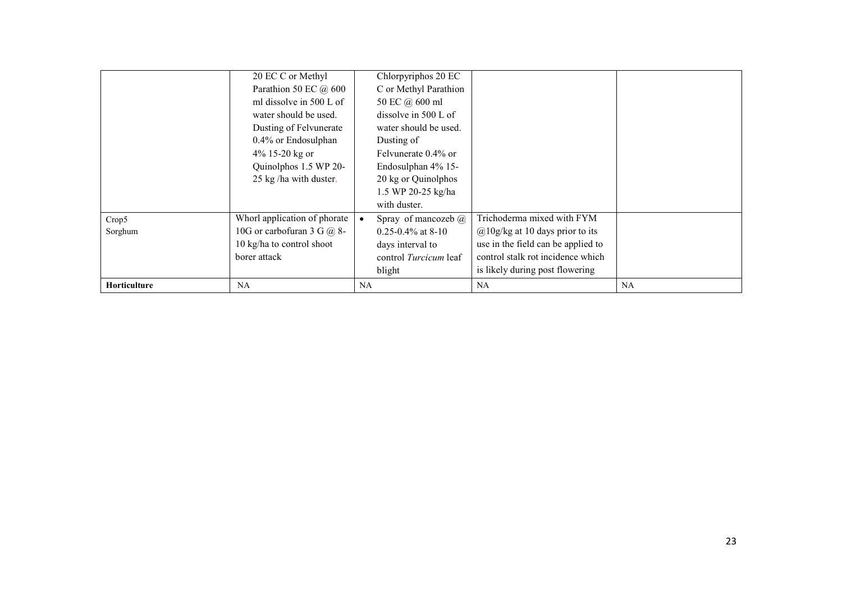|                   | 20 EC C or Methyl                 |           | Chlorpyriphos 20 EC        |                                                     |    |
|-------------------|-----------------------------------|-----------|----------------------------|-----------------------------------------------------|----|
|                   | Parathion 50 EC @ 600             |           | C or Methyl Parathion      |                                                     |    |
|                   | ml dissolve in 500 L of           |           | 50 EC @ 600 ml             |                                                     |    |
|                   | water should be used.             |           | dissolve in 500 L of       |                                                     |    |
|                   | Dusting of Felvunerate            |           | water should be used.      |                                                     |    |
|                   | 0.4% or Endosulphan               |           | Dusting of                 |                                                     |    |
|                   | 4% 15-20 kg or                    |           | Felvunerate 0.4% or        |                                                     |    |
|                   | Quinolphos 1.5 WP 20-             |           | Endosulphan 4% 15-         |                                                     |    |
|                   | 25 kg/ha with duster.             |           | 20 kg or Quinolphos        |                                                     |    |
|                   |                                   |           | 1.5 WP 20-25 kg/ha         |                                                     |    |
|                   |                                   |           | with duster.               |                                                     |    |
| Crop <sub>5</sub> | Whorl application of phorate      |           | Spray of mancozeb $\omega$ | Trichoderma mixed with FYM                          |    |
| Sorghum           | 10G or carbofuran 3 G $\omega$ 8- |           | $0.25 - 0.4\%$ at 8-10     | $\omega$ <sub>10</sub> g/kg at 10 days prior to its |    |
|                   | 10 kg/ha to control shoot         |           | days interval to           | use in the field can be applied to                  |    |
|                   | borer attack                      |           | control Turcicum leaf      | control stalk rot incidence which                   |    |
|                   |                                   |           | blight                     | is likely during post flowering                     |    |
| Horticulture      | NA                                | <b>NA</b> |                            | <b>NA</b>                                           | NA |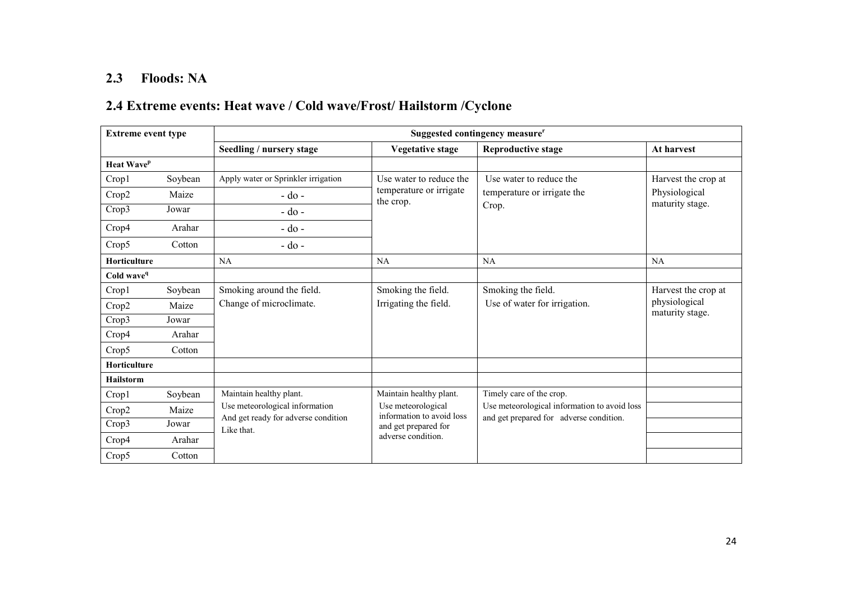## 2.3 Floods: NA

# 2.4 Extreme events: Heat wave / Cold wave/Frost/ Hailstorm /Cyclone

| <b>Extreme event type</b> |         |                                                   | Suggested contingency measure <sup>r</sup>      |                                                                                         |                                  |  |  |
|---------------------------|---------|---------------------------------------------------|-------------------------------------------------|-----------------------------------------------------------------------------------------|----------------------------------|--|--|
|                           |         | Seedling / nursery stage                          | <b>Vegetative stage</b>                         | <b>Reproductive stage</b>                                                               | At harvest                       |  |  |
| Heat Wave <sup>p</sup>    |         |                                                   |                                                 |                                                                                         |                                  |  |  |
| Crop1                     | Soybean | Apply water or Sprinkler irrigation               | Use water to reduce the                         | Use water to reduce the                                                                 | Harvest the crop at              |  |  |
| Crop2                     | Maize   | $-do$ -                                           | temperature or irrigate<br>the crop.            | temperature or irrigate the                                                             | Physiological<br>maturity stage. |  |  |
| Crop3                     | Jowar   | $-$ do $-$                                        |                                                 | Crop.                                                                                   |                                  |  |  |
| Crop4                     | Arahar  | $-$ do $-$                                        |                                                 |                                                                                         |                                  |  |  |
| Crop5                     | Cotton  | $-do$ -                                           |                                                 |                                                                                         |                                  |  |  |
| Horticulture              |         | NA                                                | NA                                              | NA                                                                                      | NA                               |  |  |
| Cold wave <sup>q</sup>    |         |                                                   |                                                 |                                                                                         |                                  |  |  |
| Crop1                     | Soybean | Smoking around the field.                         | Smoking the field.                              | Smoking the field.                                                                      | Harvest the crop at              |  |  |
| Crop2                     | Maize   | Change of microclimate.                           | Irrigating the field.                           | Use of water for irrigation.                                                            | physiological<br>maturity stage. |  |  |
| Crop3                     | Jowar   |                                                   |                                                 |                                                                                         |                                  |  |  |
| Crop4                     | Arahar  |                                                   |                                                 |                                                                                         |                                  |  |  |
| Crop5                     | Cotton  |                                                   |                                                 |                                                                                         |                                  |  |  |
| Horticulture              |         |                                                   |                                                 |                                                                                         |                                  |  |  |
| <b>Hailstorm</b>          |         |                                                   |                                                 |                                                                                         |                                  |  |  |
| Crop1                     | Soybean | Maintain healthy plant.                           | Maintain healthy plant.                         | Timely care of the crop.                                                                |                                  |  |  |
| Crop2                     | Maize   | Use meteorological information                    | Use meteorological<br>information to avoid loss | Use meteorological information to avoid loss<br>and get prepared for adverse condition. |                                  |  |  |
| Crop3                     | Jowar   | And get ready for adverse condition<br>Like that. | and get prepared for                            |                                                                                         |                                  |  |  |
| Crop4                     | Arahar  |                                                   | adverse condition.                              |                                                                                         |                                  |  |  |
| Crop5                     | Cotton  |                                                   |                                                 |                                                                                         |                                  |  |  |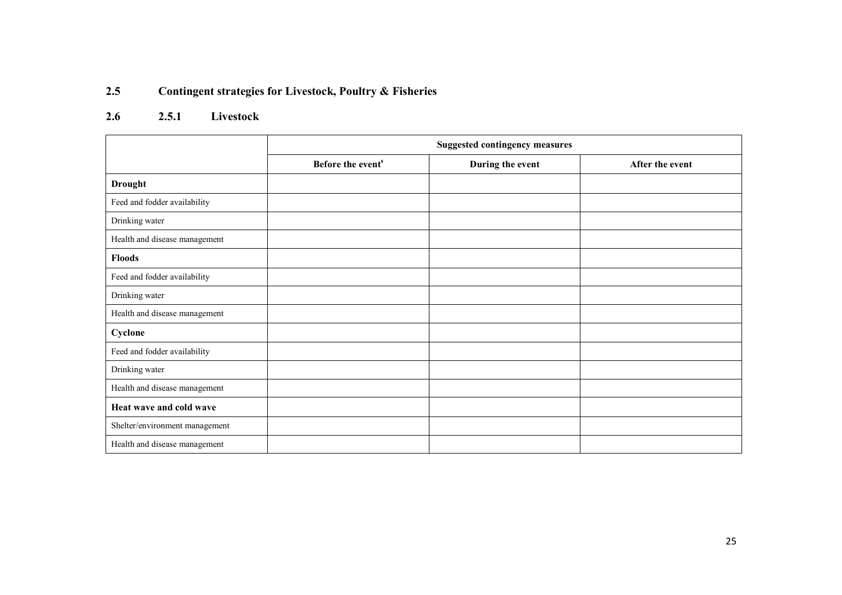#### 2.5Contingent strategies for Livestock, Poultry & Fisheries

#### 2.62.5.1 Livestock

|                                | <b>Suggested contingency measures</b> |                  |                 |  |  |  |
|--------------------------------|---------------------------------------|------------------|-----------------|--|--|--|
|                                | Before the event <sup>s</sup>         | During the event | After the event |  |  |  |
| <b>Drought</b>                 |                                       |                  |                 |  |  |  |
| Feed and fodder availability   |                                       |                  |                 |  |  |  |
| Drinking water                 |                                       |                  |                 |  |  |  |
| Health and disease management  |                                       |                  |                 |  |  |  |
| <b>Floods</b>                  |                                       |                  |                 |  |  |  |
| Feed and fodder availability   |                                       |                  |                 |  |  |  |
| Drinking water                 |                                       |                  |                 |  |  |  |
| Health and disease management  |                                       |                  |                 |  |  |  |
| Cyclone                        |                                       |                  |                 |  |  |  |
| Feed and fodder availability   |                                       |                  |                 |  |  |  |
| Drinking water                 |                                       |                  |                 |  |  |  |
| Health and disease management  |                                       |                  |                 |  |  |  |
| Heat wave and cold wave        |                                       |                  |                 |  |  |  |
| Shelter/environment management |                                       |                  |                 |  |  |  |
| Health and disease management  |                                       |                  |                 |  |  |  |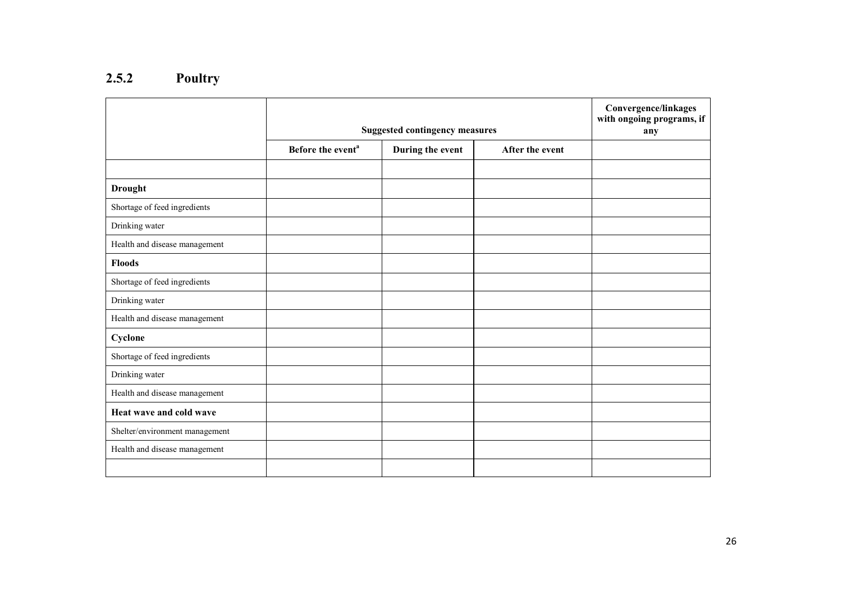## 2.5.2 Poultry

|                                | <b>Suggested contingency measures</b> | <b>Convergence/linkages</b><br>with ongoing programs, if<br>any |                 |  |
|--------------------------------|---------------------------------------|-----------------------------------------------------------------|-----------------|--|
|                                | Before the event <sup>a</sup>         | During the event                                                | After the event |  |
|                                |                                       |                                                                 |                 |  |
| <b>Drought</b>                 |                                       |                                                                 |                 |  |
| Shortage of feed ingredients   |                                       |                                                                 |                 |  |
| Drinking water                 |                                       |                                                                 |                 |  |
| Health and disease management  |                                       |                                                                 |                 |  |
| <b>Floods</b>                  |                                       |                                                                 |                 |  |
| Shortage of feed ingredients   |                                       |                                                                 |                 |  |
| Drinking water                 |                                       |                                                                 |                 |  |
| Health and disease management  |                                       |                                                                 |                 |  |
| Cyclone                        |                                       |                                                                 |                 |  |
| Shortage of feed ingredients   |                                       |                                                                 |                 |  |
| Drinking water                 |                                       |                                                                 |                 |  |
| Health and disease management  |                                       |                                                                 |                 |  |
| Heat wave and cold wave        |                                       |                                                                 |                 |  |
| Shelter/environment management |                                       |                                                                 |                 |  |
| Health and disease management  |                                       |                                                                 |                 |  |
|                                |                                       |                                                                 |                 |  |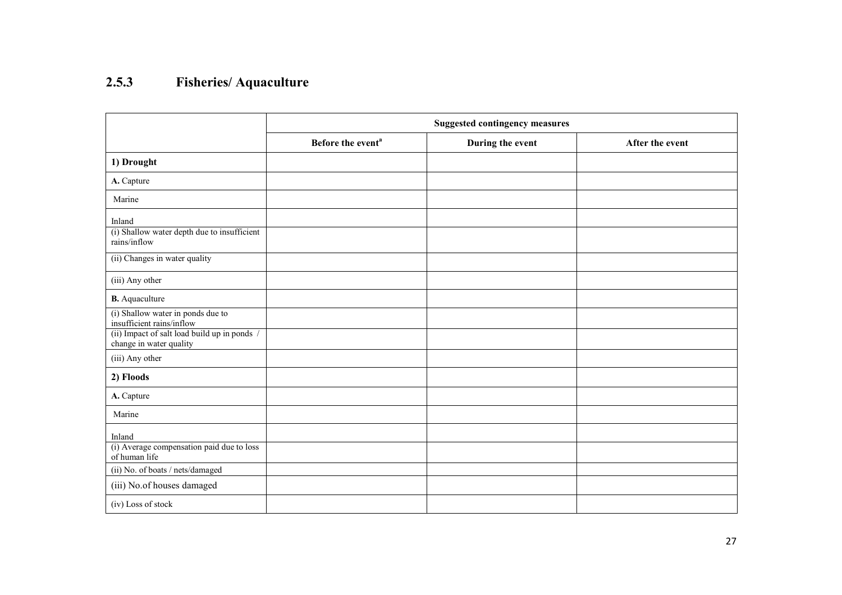#### 2.5.3 Fisheries/ Aquaculture

|                                                                         | <b>Suggested contingency measures</b> |                  |                 |
|-------------------------------------------------------------------------|---------------------------------------|------------------|-----------------|
|                                                                         | Before the event <sup>a</sup>         | During the event | After the event |
| 1) Drought                                                              |                                       |                  |                 |
| A. Capture                                                              |                                       |                  |                 |
| Marine                                                                  |                                       |                  |                 |
| Inland                                                                  |                                       |                  |                 |
| (i) Shallow water depth due to insufficient<br>rains/inflow             |                                       |                  |                 |
| (ii) Changes in water quality                                           |                                       |                  |                 |
| (iii) Any other                                                         |                                       |                  |                 |
| <b>B.</b> Aquaculture                                                   |                                       |                  |                 |
| (i) Shallow water in ponds due to<br>insufficient rains/inflow          |                                       |                  |                 |
| (ii) Impact of salt load build up in ponds /<br>change in water quality |                                       |                  |                 |
| (iii) Any other                                                         |                                       |                  |                 |
| 2) Floods                                                               |                                       |                  |                 |
| A. Capture                                                              |                                       |                  |                 |
| Marine                                                                  |                                       |                  |                 |
| Inland                                                                  |                                       |                  |                 |
| (i) Average compensation paid due to loss<br>of human life              |                                       |                  |                 |
| (ii) No. of boats / nets/damaged                                        |                                       |                  |                 |
| (iii) No.of houses damaged                                              |                                       |                  |                 |
| (iv) Loss of stock                                                      |                                       |                  |                 |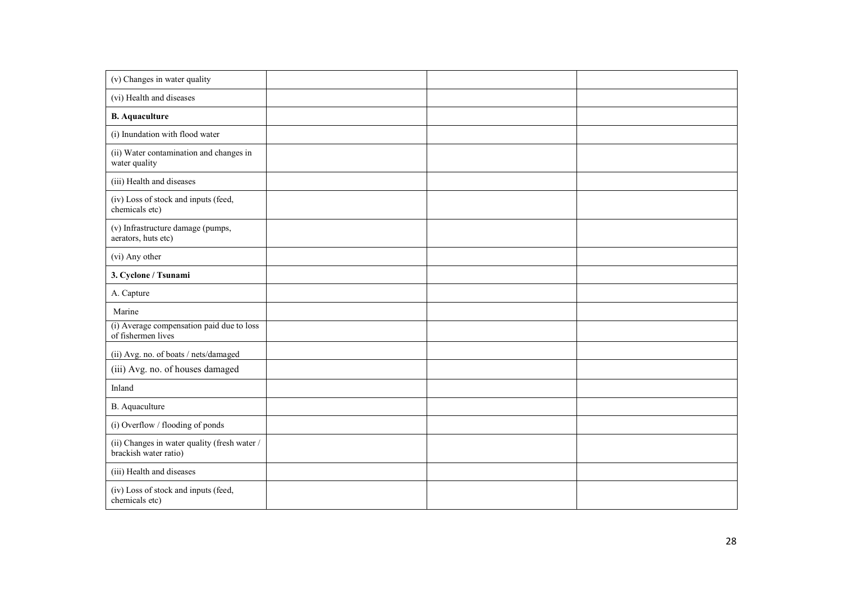| (v) Changes in water quality                                          |  |  |
|-----------------------------------------------------------------------|--|--|
| (vi) Health and diseases                                              |  |  |
| <b>B.</b> Aquaculture                                                 |  |  |
| (i) Inundation with flood water                                       |  |  |
| (ii) Water contamination and changes in<br>water quality              |  |  |
| (iii) Health and diseases                                             |  |  |
| (iv) Loss of stock and inputs (feed,<br>chemicals etc)                |  |  |
| (v) Infrastructure damage (pumps,<br>aerators, huts etc)              |  |  |
| (vi) Any other                                                        |  |  |
| 3. Cyclone / Tsunami                                                  |  |  |
| A. Capture                                                            |  |  |
| Marine                                                                |  |  |
| (i) Average compensation paid due to loss<br>of fishermen lives       |  |  |
| (ii) Avg. no. of boats / nets/damaged                                 |  |  |
| (iii) Avg. no. of houses damaged                                      |  |  |
| Inland                                                                |  |  |
| B. Aquaculture                                                        |  |  |
| (i) Overflow / flooding of ponds                                      |  |  |
| (ii) Changes in water quality (fresh water /<br>brackish water ratio) |  |  |
| (iii) Health and diseases                                             |  |  |
| (iv) Loss of stock and inputs (feed,<br>chemicals etc)                |  |  |